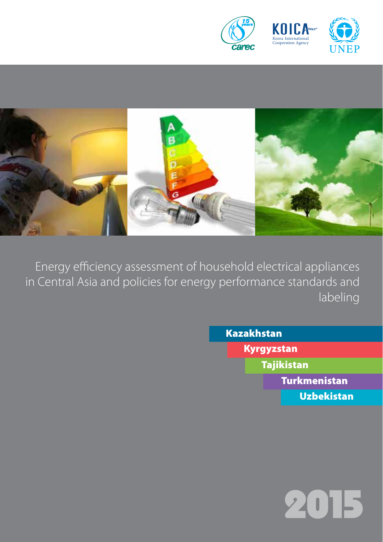



Energy efficiency assessment of household electrical appliances in Central Asia and policies for energy performance standards and labeling

Kazakhstan

Kyrgyzstan

Tajikistan

Turkmenistan

Uzbekistan

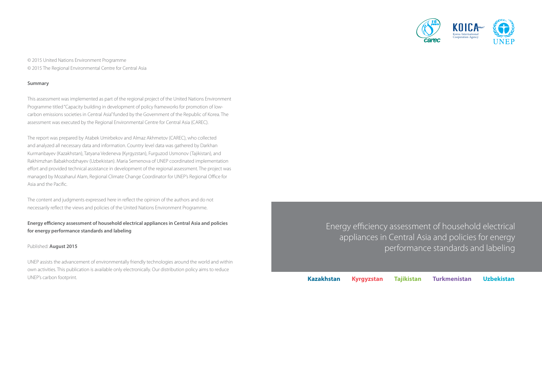

© 2015 United Nations Environment Programme © 2015 The Regional Environmental Centre for Central Asia

#### **Summary**

This assessment was implemented as part of the regional project of the United Nations Environment Programme titled "Capacity building in development of policy frameworks for promotion of lowcarbon emissions societies in Central Asia" funded by the Government of the Republic of Korea. The assessment was executed by the Regional Environmental Centre for Central Asia (CAREC).

The report was prepared by Atabek Umirbekov and Almaz Akhmetov (CAREC), who collected and analyzed all necessary data and information. Country level data was gathered by Darkhan Kurmanbayev (Kazakhstan), Tatyana Vedeneva (Kyrgyzstan), Furguzod Usmonov (Tajikistan), and Rakhimzhan Babakhodzhayev (Uzbekistan). Maria Semenova of UNEP coordinated implementation effort and provided technical assistance in development of the regional assessment. The project was managed by Mozaharul Alam, Regional Climate Change Coordinator for UNEP's Regional Office for Asia and the Pacific.

The content and judgments expressed here in reflect the opinion of the authors and do not necessarily reflect the views and policies of the United Nations Environment Programme.

**Energy efficiency assessment of household electrical appliances in Central Asia and policies for energy performance standards and labeling** 

#### Published: **August 2015**

UNEP assists the advancement of environmentally friendly technologies around the world and within own activities. This publication is available only electronically. Our distribution policy aims to reduce UNEP's carbon footprint.

Energy efficiency assessment of household electrical appliances in Central Asia and policies for energy performance standards and labeling

**Kazakhstan Kyrgyzstan Tajikistan Turkmenistan Uzbekistan**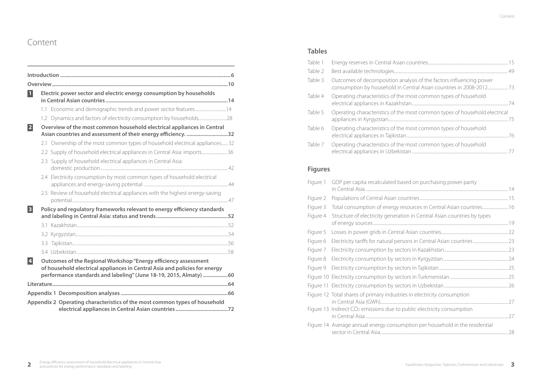# Content

| $\blacksquare$ | Electric power sector and electric energy consumption by households                                                                                                                                                |  |
|----------------|--------------------------------------------------------------------------------------------------------------------------------------------------------------------------------------------------------------------|--|
|                | 1.1 Economic and demographic trends and power sector features14                                                                                                                                                    |  |
|                | 1.2 Dynamics and factors of electricity consumption by households28                                                                                                                                                |  |
| 2              | Overview of the most common household electrical appliances in Central<br>Asian countries and assessment of their energy efficiency. 32                                                                            |  |
|                | 2.1 Ownership of the most common types of household electrical appliances 32                                                                                                                                       |  |
|                | 2.2 Supply of household electrical appliances in Central Asia: imports36                                                                                                                                           |  |
|                | 2.3 Supply of household electrical appliances in Central Asia:                                                                                                                                                     |  |
|                | 2.4 Electricity consumption by most common types of household electrical                                                                                                                                           |  |
|                | 2.5 Review of household electrical appliances with the highest energy-saving                                                                                                                                       |  |
| $\vert$ 3      | Policy and regulatory frameworks relevant to energy efficiency standards                                                                                                                                           |  |
|                |                                                                                                                                                                                                                    |  |
|                |                                                                                                                                                                                                                    |  |
|                |                                                                                                                                                                                                                    |  |
|                |                                                                                                                                                                                                                    |  |
| $\vert$ 4      | Outcomes of the Regional Workshop "Energy efficiency assessment<br>of household electrical appliances in Central Asia and policies for energy<br>performance standards and labeling" (June 18-19, 2015, Almaty) 60 |  |
|                |                                                                                                                                                                                                                    |  |
|                |                                                                                                                                                                                                                    |  |
|                | Appendix 2 Operating characteristics of the most common types of household                                                                                                                                         |  |

### **Tables**

| Table 1 |                                                                                   |
|---------|-----------------------------------------------------------------------------------|
| Table 2 |                                                                                   |
| Table 3 | Outcomes of decomposition analysis of the factors influencing power               |
| Table 4 | Operating characteristics of the most common types of household                   |
| Table 5 | Operating characteristics of the most common types of household electrical<br>-75 |
| Table 6 | Operating characteristics of the most common types of household                   |
| Table 7 | Operating characteristics of the most common types of household                   |

## **Figures**

| Figure 1 | GDP per capita recalculated based on purchasing power parity                       |  |
|----------|------------------------------------------------------------------------------------|--|
| Figure 2 |                                                                                    |  |
| Figure 3 | Total consumption of energy resources in Central Asian countries 16                |  |
| Figure 4 | Structure of electricity generation in Central Asian countries by types            |  |
| Figure 5 |                                                                                    |  |
| Figure 6 |                                                                                    |  |
| Figure 7 |                                                                                    |  |
| Figure 8 |                                                                                    |  |
| Figure 9 |                                                                                    |  |
|          |                                                                                    |  |
|          |                                                                                    |  |
|          | Figure 12 Total shares of primary industries in electricity consumption            |  |
|          | Figure 13 Indirect CO <sub>2</sub> emissions due to public electricity consumption |  |
|          | Figure 14 Average annual energy consumption per household in the residential       |  |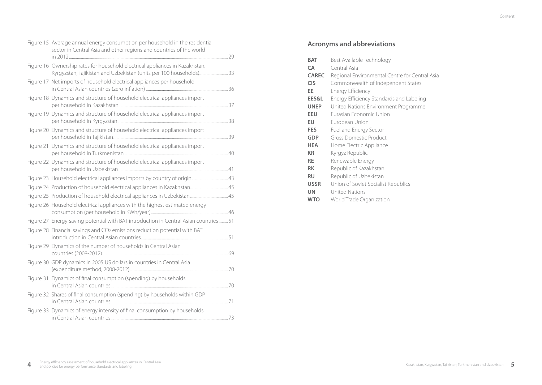| sector in Central Asia and other regions and countries of the world |                                                                                                                                                                                                                                                                                                                                                                                                                                                                                                                                                                                                                                                                                                                                                                                                                                                                                                                                                                                                                                                                                                                                                                                                                                                                                                                                                                  |
|---------------------------------------------------------------------|------------------------------------------------------------------------------------------------------------------------------------------------------------------------------------------------------------------------------------------------------------------------------------------------------------------------------------------------------------------------------------------------------------------------------------------------------------------------------------------------------------------------------------------------------------------------------------------------------------------------------------------------------------------------------------------------------------------------------------------------------------------------------------------------------------------------------------------------------------------------------------------------------------------------------------------------------------------------------------------------------------------------------------------------------------------------------------------------------------------------------------------------------------------------------------------------------------------------------------------------------------------------------------------------------------------------------------------------------------------|
|                                                                     |                                                                                                                                                                                                                                                                                                                                                                                                                                                                                                                                                                                                                                                                                                                                                                                                                                                                                                                                                                                                                                                                                                                                                                                                                                                                                                                                                                  |
|                                                                     |                                                                                                                                                                                                                                                                                                                                                                                                                                                                                                                                                                                                                                                                                                                                                                                                                                                                                                                                                                                                                                                                                                                                                                                                                                                                                                                                                                  |
|                                                                     |                                                                                                                                                                                                                                                                                                                                                                                                                                                                                                                                                                                                                                                                                                                                                                                                                                                                                                                                                                                                                                                                                                                                                                                                                                                                                                                                                                  |
|                                                                     |                                                                                                                                                                                                                                                                                                                                                                                                                                                                                                                                                                                                                                                                                                                                                                                                                                                                                                                                                                                                                                                                                                                                                                                                                                                                                                                                                                  |
|                                                                     |                                                                                                                                                                                                                                                                                                                                                                                                                                                                                                                                                                                                                                                                                                                                                                                                                                                                                                                                                                                                                                                                                                                                                                                                                                                                                                                                                                  |
|                                                                     |                                                                                                                                                                                                                                                                                                                                                                                                                                                                                                                                                                                                                                                                                                                                                                                                                                                                                                                                                                                                                                                                                                                                                                                                                                                                                                                                                                  |
|                                                                     |                                                                                                                                                                                                                                                                                                                                                                                                                                                                                                                                                                                                                                                                                                                                                                                                                                                                                                                                                                                                                                                                                                                                                                                                                                                                                                                                                                  |
|                                                                     |                                                                                                                                                                                                                                                                                                                                                                                                                                                                                                                                                                                                                                                                                                                                                                                                                                                                                                                                                                                                                                                                                                                                                                                                                                                                                                                                                                  |
|                                                                     |                                                                                                                                                                                                                                                                                                                                                                                                                                                                                                                                                                                                                                                                                                                                                                                                                                                                                                                                                                                                                                                                                                                                                                                                                                                                                                                                                                  |
|                                                                     |                                                                                                                                                                                                                                                                                                                                                                                                                                                                                                                                                                                                                                                                                                                                                                                                                                                                                                                                                                                                                                                                                                                                                                                                                                                                                                                                                                  |
|                                                                     |                                                                                                                                                                                                                                                                                                                                                                                                                                                                                                                                                                                                                                                                                                                                                                                                                                                                                                                                                                                                                                                                                                                                                                                                                                                                                                                                                                  |
|                                                                     |                                                                                                                                                                                                                                                                                                                                                                                                                                                                                                                                                                                                                                                                                                                                                                                                                                                                                                                                                                                                                                                                                                                                                                                                                                                                                                                                                                  |
|                                                                     |                                                                                                                                                                                                                                                                                                                                                                                                                                                                                                                                                                                                                                                                                                                                                                                                                                                                                                                                                                                                                                                                                                                                                                                                                                                                                                                                                                  |
|                                                                     |                                                                                                                                                                                                                                                                                                                                                                                                                                                                                                                                                                                                                                                                                                                                                                                                                                                                                                                                                                                                                                                                                                                                                                                                                                                                                                                                                                  |
|                                                                     |                                                                                                                                                                                                                                                                                                                                                                                                                                                                                                                                                                                                                                                                                                                                                                                                                                                                                                                                                                                                                                                                                                                                                                                                                                                                                                                                                                  |
|                                                                     |                                                                                                                                                                                                                                                                                                                                                                                                                                                                                                                                                                                                                                                                                                                                                                                                                                                                                                                                                                                                                                                                                                                                                                                                                                                                                                                                                                  |
|                                                                     |                                                                                                                                                                                                                                                                                                                                                                                                                                                                                                                                                                                                                                                                                                                                                                                                                                                                                                                                                                                                                                                                                                                                                                                                                                                                                                                                                                  |
|                                                                     |                                                                                                                                                                                                                                                                                                                                                                                                                                                                                                                                                                                                                                                                                                                                                                                                                                                                                                                                                                                                                                                                                                                                                                                                                                                                                                                                                                  |
|                                                                     | Figure 15 Average annual energy consumption per household in the residential<br>Figure 16 Ownership rates for household electrical appliances in Kazakhstan,<br>Kyrgyzstan, Tajikistan and Uzbekistan (units per 100 households) 33<br>Figure 17 Net imports of household electrical appliances per household<br>Figure 18 Dynamics and structure of household electrical appliances import<br>Figure 19 Dynamics and structure of household electrical appliances import<br>Figure 20 Dynamics and structure of household electrical appliances import<br>Figure 21 Dynamics and structure of household electrical appliances import<br>Figure 22 Dynamics and structure of household electrical appliances import<br>Figure 26 Household electrical appliances with the highest estimated energy<br>Figure 27 Energy-saving potential with BAT introduction in Central Asian countries 51<br>Figure 28 Financial savings and CO <sub>2</sub> emissions reduction potential with BAT<br>Figure 29 Dynamics of the number of households in Central Asian<br>Figure 30 GDP dynamics in 2005 US dollars in countries in Central Asia<br>Figure 31 Dynamics of final consumption (spending) by households<br>Figure 32 Shares of final consumption (spending) by households within GDP<br>Figure 33 Dynamics of energy intensity of final consumption by households |

### **Acronyms and abbreviations**

| <b>BAT</b>   | Best Available Technology                      |
|--------------|------------------------------------------------|
| <b>CA</b>    | Central Asia                                   |
| <b>CAREC</b> | Regional Environmental Centre for Central Asia |
| <b>CIS</b>   | Commonwealth of Independent States             |
| EE           | Energy Efficiency                              |
| EES&L        | Energy Efficiency Standards and Labeling       |
| <b>UNEP</b>  | United Nations Environment Programme           |
| EEU          | Eurasian Economic Union                        |
| EU           | European Union                                 |
| FES          | Fuel and Energy Sector                         |
| GDP          | Gross Domestic Product                         |
| HEA          | Home Electric Appliance                        |
| <b>KR</b>    | Kyrgyz Republic                                |
| RE           | Renewable Energy                               |
| RK           | Republic of Kazakhstan                         |
| RU           | Republic of Uzbekistan                         |
| USSR         | Union of Soviet Socialist Republics            |
| UN           | <b>United Nations</b>                          |
| <b>WTO</b>   | World Trade Organization                       |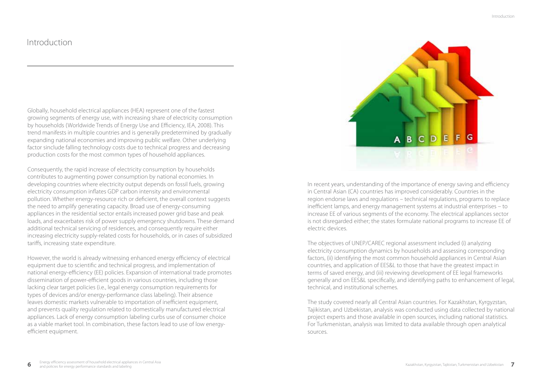## Introduction

Globally, household electrical appliances (HEA) represent one of the fastest growing segments of energy use, with increasing share of electricity consumption by households (Worldwide Trends of Energy Use and Efficiency, IEA, 2008). This trend manifests in multiple countries and is generally predetermined by gradually expanding national economies and improving public welfare. Other underlying factor sinclude falling technology costs due to technical progress and decreasing production costs for the most common types of household appliances.

Consequently, the rapid increase of electricity consumption by households contributes to augmenting power consumption by national economies. In developing countries where electricity output depends on fossil fuels, growing electricity consumption inflates GDP carbon intensity and environmental pollution. Whether energy-resource rich or deficient, the overall context suggests the need to amplify generating capacity. Broad use of energy-consuming appliances in the residential sector entails increased power grid base and peak loads, and exacerbates risk of power supply emergency shutdowns. These demand additional technical servicing of residences, and consequently require either increasing electricity supply-related costs for households, or in cases of subsidized tariffs, increasing state expenditure.

However, the world is already witnessing enhanced energy efficiency of electrical equipment due to scientific and technical progress, and implementation of national energy-efficiency (EE) policies. Expansion of international trade promotes dissemination of power-efficient goods in various countries, including those lacking clear target policies (i.e., legal energy consumption requirements for types of devices and/or energy-performance class labeling). Their absence leaves domestic markets vulnerable to importation of inefficient equipment, and prevents quality regulation related to domestically manufactured electrical appliances. Lack of energy consumption labeling curbs use of consumer choice as a viable market tool. In combination, these factors lead to use of low energyefficient equipment.



In recent years, understanding of the importance of energy saving and efficiency in Central Asian (CA) countries has improved considerably. Countries in the region endorse laws and regulations – technical regulations, programs to replace inefficient lamps, and energy management systems at industrial enterprises – to increase EE of various segments of the economy. The electrical appliances sector is not disregarded either; the states formulate national programs to increase EE of electric devices.

The objectives of UNEP/CAREC regional assessment included (i) analyzing electricity consumption dynamics by households and assessing corresponding factors, (ii) identifying the most common household appliances in Central Asian countries, and application of EES&L to those that have the greatest impact in terms of saved energy, and (iii) reviewing development of EE legal frameworks generally and on EES&L specifically, and identifying paths to enhancement of legal, technical, and institutional schemes.

The study covered nearly all Central Asian countries. For Kazakhstan, Kyrgyzstan, Tajikistan, and Uzbekistan, analysis was conducted using data collected by national project experts and those available in open sources, including national statistics. For Turkmenistan, analysis was limited to data available through open analytical sources.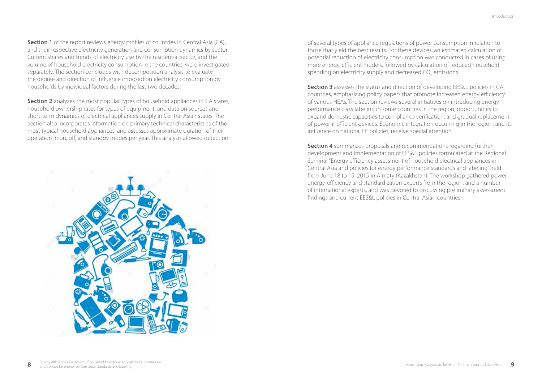**Section 1** of the report reviews energy profiles of countries in Central Asia (CA), and their respective electricity generation and consumption dynamics by sector. Current shares and trends of electricity use by the residential sector, and the volume of household electricity consumption in the countries, were investigated separately. The section concludes with decomposition analysis to evaluate the degree and direction of influence imposed on electricity consumption by households by individual factors during the last two decades.

**Section 2** analyzes the most popular types of household appliances in CA states, household ownership rates for types of equipment, and data on sources and short-term dynamics of electrical appliances supply in Central Asian states. The section also incorporates information on primary technical characteristics of the most typical household appliances, and assesses approximate duration of their operation in on, off, and standby modes per year. This analysis allowed detection



of several types of appliance regulations of power consumption in relation to those that yield the best results. For these devices, an estimated calculation of potential reduction of electricity consumption was conducted in cases of using more energy-efficient models, followed by calculation of reduced household spending on electricity supply and decreased  $CO<sub>2</sub>$  emissions.

**Section 3** assesses the status and direction of developing EES&L policies in CA countries, emphasizing policy papers that promote increased energy efficiency of various HEAs. The section reviews several initiatives on introducing energy performance class labeling in some countries in the region, opportunities to expand domestic capacities to compliance verification, and gradual replacement of power-inefficient devices. Economic integration occurring in the region, and its influence on national EE policies, receive special attention.

**Section 4** summarizes proposals and recommendations regarding further development and implementation of EES&L policies formulated at the Regional Seminar "Energy efficiency assessment of household electrical appliances in Central Asia and policies for energy performance standards and labeling" held from June 18 to 19, 2015 in Almaty (Kazakhstan). The workshop gathered power, energy-efficiency and standardization experts from the region, and a number of international experts, and was devoted to discussing preliminary assessment findings and current EES&L policies in Central Asian countries.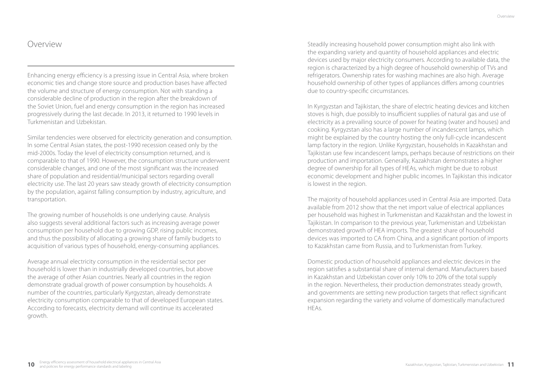## Overview

Enhancing energy efficiency is a pressing issue in Central Asia, where broken economic ties and change store source and production bases have affected the volume and structure of energy consumption. Not with standing a considerable decline of production in the region after the breakdown of the Soviet Union, fuel and energy consumption in the region has increased progressively during the last decade. In 2013, it returned to 1990 levels in Turkmenistan and Uzbekistan.

Similar tendencies were observed for electricity generation and consumption. In some Central Asian states, the post-1990 recession ceased only by the mid-2000s. Today the level of electricity consumption returned, and is comparable to that of 1990. However, the consumption structure underwent considerable changes, and one of the most significant was the increased share of population and residential/municipal sectors regarding overall electricity use. The last 20 years saw steady growth of electricity consumption by the population, against falling consumption by industry, agriculture, and transportation.

The growing number of households is one underlying cause. Analysis also suggests several additional factors such as increasing average power consumption per household due to growing GDP, rising public incomes, and thus the possibility of allocating a growing share of family budgets to acquisition of various types of household, energy-consuming appliances.

Average annual electricity consumption in the residential sector per household is lower than in industrially developed countries, but above the average of other Asian countries. Nearly all countries in the region demonstrate gradual growth of power consumption by households. A number of the countries, particularly Kyrgyzstan, already demonstrate electricity consumption comparable to that of developed European states. According to forecasts, electricity demand will continue its accelerated growth.

Steadily increasing household power consumption might also link with the expanding variety and quantity of household appliances and electric devices used by major electricity consumers. According to available data, the region is characterized by a high degree of household ownership of TVs and refrigerators. Ownership rates for washing machines are also high. Average household ownership of other types of appliances differs among countries due to country-specific circumstances.

In Kyrgyzstan and Tajikistan, the share of electric heating devices and kitchen stoves is high, due possibly to insufficient supplies of natural gas and use of electricity as a prevailing source of power for heating (water and houses) and cooking. Kyrgyzstan also has a large number of incandescent lamps, which might be explained by the country hosting the only full-cycle incandescent lamp factory in the region. Unlike Kyrgyzstan, households in Kazakhstan and Tajikistan use few incandescent lamps, perhaps because of restrictions on their production and importation. Generally, Kazakhstan demonstrates a higher degree of ownership for all types of HEAs, which might be due to robust economic development and higher public incomes. In Tajikistan this indicator is lowest in the region.

The majority of household appliances used in Central Asia are imported. Data available from 2012 show that the net import value of electrical appliances per household was highest in Turkmenistan and Kazakhstan and the lowest in Tajikistan. In comparison to the previous year, Turkmenistan and Uzbekistan demonstrated growth of HEA imports. The greatest share of household devices was imported to CA from China, and a significant portion of imports to Kazakhstan came from Russia, and to Turkmenistan from Turkey.

Domestic production of household appliances and electric devices in the region satisfies a substantial share of internal demand. Manufacturers based in Kazakhstan and Uzbekistan cover only 10% to 20% of the total supply in the region. Nevertheless, their production demonstrates steady growth, and governments are setting new production targets that reflect significant expansion regarding the variety and volume of domestically manufactured HEAs.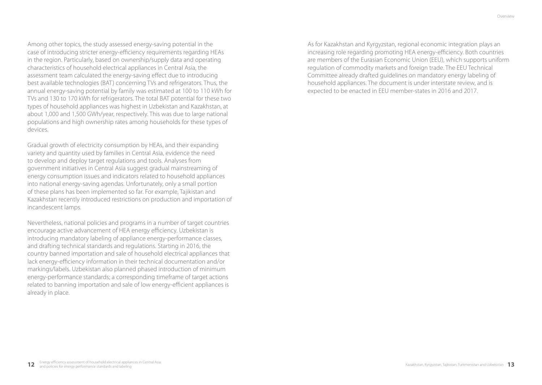Among other topics, the study assessed energy-saving potential in the case of introducing stricter energy-efficiency requirements regarding HEAs in the region. Particularly, based on ownership/supply data and operating characteristics of household electrical appliances in Central Asia, the assessment team calculated the energy-saving effect due to introducing best available technologies (BAT) concerning TVs and refrigerators. Thus, the annual energy-saving potential by family was estimated at 100 to 110 kWh for TVs and 130 to 170 kWh for refrigerators. The total BAT potential for these two types of household appliances was highest in Uzbekistan and Kazakhstan, at about 1,000 and 1,500 GWh/year, respectively. This was due to large national populations and high ownership rates among households for these types of devices.

Gradual growth of electricity consumption by HEAs, and their expanding variety and quantity used by families in Central Asia, evidence the need to develop and deploy target regulations and tools. Analyses from government initiatives in Central Asia suggest gradual mainstreaming of energy consumption issues and indicators related to household appliances into national energy-saving agendas. Unfortunately, only a small portion of these plans has been implemented so far. For example, Tajikistan and Kazakhstan recently introduced restrictions on production and importation of incandescent lamps.

Nevertheless, national policies and programs in a number of target countries encourage active advancement of HEA energy efficiency. Uzbekistan is introducing mandatory labeling of appliance energy-performance classes, and drafting technical standards and regulations. Starting in 2016, the country banned importation and sale of household electrical appliances that lack energy-efficiency information in their technical documentation and/or markings/labels. Uzbekistan also planned phased introduction of minimum energy-performance standards; a corresponding timeframe of target actions related to banning importation and sale of low energy-efficient appliances is already in place.

As for Kazakhstan and Kyrgyzstan, regional economic integration plays an increasing role regarding promoting HEA energy-efficiency. Both countries are members of the Eurasian Economic Union (EEU), which supports uniform regulation of commodity markets and foreign trade. The EEU Technical Committee already drafted guidelines on mandatory energy labeling of household appliances. The document is under interstate review, and is expected to be enacted in EEU member-states in 2016 and 2017.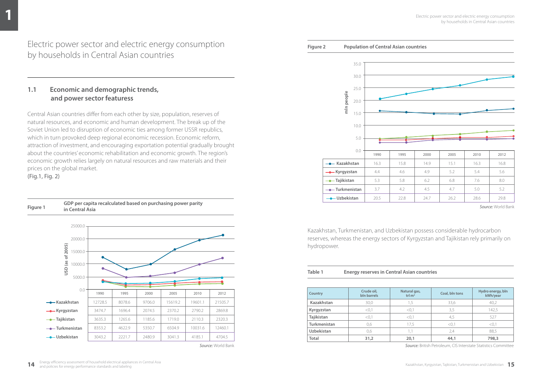Electric power sector and electric energy consumption by households in Central Asian countries

### **1.1 Economic and demographic trends, and power sector featuress**

Central Asian countries differ from each other by size, population, reserves of natural resources, and economic and human development. The break up of the Soviet Union led to disruption of economic ties among former USSR republics, which in turn provoked deep regional economic recession. Economic reform, attraction of investment, and encouraging exportation potential gradually brought about the countries' economic rehabilitation and economic growth. The region's economic growth relies largely on natural resources and raw materials and their prices on the global market.

(Fig.1, Fig. 2)





*Source:* World Bank

#### **Figure 2 Population of Central Asian countries**



*Source:* World Bank

Kazakhstan, Turkmenistan, and Uzbekistan possess considerable hydrocarbon reserves, whereas the energy sectors of Kyrgyzstan and Tajikistan rely primarily on hydropower.

#### **Table 1 Energy reserves in Central Asian countries**

| <b>Country</b> | Crude oil,<br>bln barrels | Natural gas,<br>trl $m3$ | Coal, bln tons | Hydro energy, bln<br>kWh/year |
|----------------|---------------------------|--------------------------|----------------|-------------------------------|
| Kazakhstan     | 30.0                      | 1.5                      | 33,6           | 40.2                          |
| Kyrgyzstan     | < 0,1                     | <0.1                     | 3,5            | 142.5                         |
| Tajikistan     | < 0.1                     | < 0.1                    | 4,5            | 527                           |
| Turkmenistan   | 0,6                       | 17,5                     | <0,1           | < 0,1                         |
| Uzbekistan     | 0,6                       |                          | 2.4            | 88.5                          |
| Total          | 31,2                      | 20,1                     | 44,1           | 798,3                         |

*Source:* British Petroleum, CIS Interstate Statistics Committee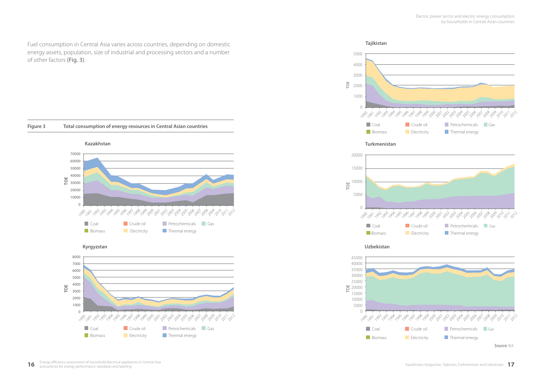Fuel consumption in Central Asia varies across countries, depending on domestic energy assets, population, size of industrial and processing sectors and a number of other factors (Fig. 3).



**Kyrgyzstan**









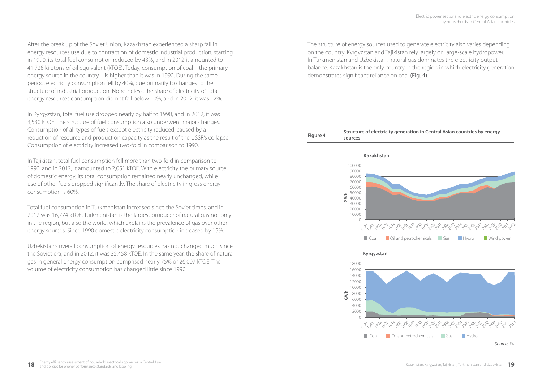After the break up of the Soviet Union, Kazakhstan experienced a sharp fall in energy resources use due to contraction of domestic industrial production; starting in 1990, its total fuel consumption reduced by 43%, and in 2012 it amounted to 41,728 kilotons of oil equivalent (kTOE). Today, consumption of coal – the primary energy source in the country – is higher than it was in 1990. During the same period, electricity consumption fell by 40%, due primarily to changes to the structure of industrial production. Nonetheless, the share of electricity of total energy resources consumption did not fall below 10%, and in 2012, it was 12%.

In Kyrgyzstan, total fuel use dropped nearly by half to 1990, and in 2012, it was 3,530 kTOE. The structure of fuel consumption also underwent major changes. Consumption of all types of fuels except electricity reduced, caused by a reduction of resource and production capacity as the result of the USSR's collapse. Consumption of electricity increased two-fold in comparison to 1990.

In Tajikistan, total fuel consumption fell more than two-fold in comparison to 1990, and in 2012, it amounted to 2,051 kTOE. With electricity the primary source of domestic energy, its total consumption remained nearly unchanged, while use of other fuels dropped significantly. The share of electricity in gross energy consumption is 60%.

Total fuel consumption in Turkmenistan increased since the Soviet times, and in 2012 was 16,774 kTOE. Turkmenistan is the largest producer of natural gas not only in the region, but also the world, which explains the prevalence of gas over other energy sources. Since 1990 domestic electricity consumption increased by 15%.

Uzbekistan's overall consumption of energy resources has not changed much since the Soviet era, and in 2012, it was 35,458 kTOE. In the same year, the share of natural gas in general energy consumption comprised nearly 75% or 26,007 kTOE. The volume of electricity consumption has changed little since 1990.

The structure of energy sources used to generate electricity also varies depending on the country. Kyrgyzstan and Tajikistan rely largely on large-scale hydropower. In Turkmenistan and Uzbekistan, natural gas dominates the electricity output balance. Kazakhstan is the only country in the region in which electricity generation demonstrates significant reliance on coal (Fig. 4).

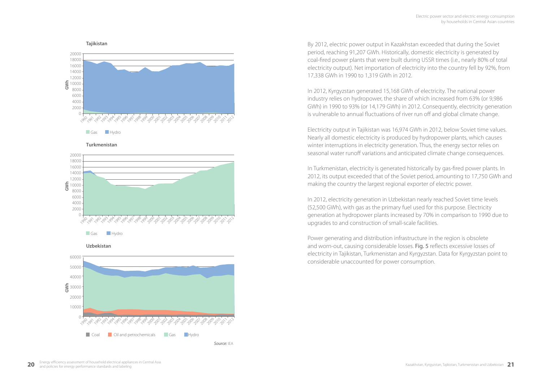

**Тurkmenistan**



**Uzbekistan**



*Source:* IEA

By 2012, electric power output in Kazakhstan exceeded that during the Soviet period, reaching 91,207 GWh. Historically, domestic electricity is generated by coal-fired power plants that were built during USSR times (i.e., nearly 80% of total electricity output). Net importation of electricity into the country fell by 92%, from 17,338 GWh in 1990 to 1,319 GWh in 2012.

In 2012, Kyrgyzstan generated 15,168 GWh of electricity. The national power industry relies on hydropower, the share of which increased from 63% (or 9,986 GWh) in 1990 to 93% (or 14,179 GWh) in 2012. Consequently, electricity generation is vulnerable to annual fluctuations of river run off and global climate change.

Electricity output in Tajikistan was 16,974 GWh in 2012, below Soviet time values. Nearly all domestic electricity is produced by hydropower plants, which causes winter interruptions in electricity generation. Thus, the energy sector relies on seasonal water runoff variations and anticipated climate change consequences.

In Turkmenistan, electricity is generated historically by gas-fired power plants. In 2012, its output exceeded that of the Soviet period, amounting to 17,750 GWh and making the country the largest regional exporter of electric power.

In 2012, electricity generation in Uzbekistan nearly reached Soviet time levels (52,500 GWh), with gas as the primary fuel used for this purpose. Electricity generation at hydropower plants increased by 70% in comparison to 1990 due to upgrades to and construction of small-scale facilities.

Power generating and distribution infrastructure in the region is obsolete and worn-out, causing considerable losses. Fig. 5 reflects excessive losses of electricity in Tajikistan, Turkmenistan and Kyrgyzstan. Data for Kyrgyzstan point to considerable unaccounted for power consumption.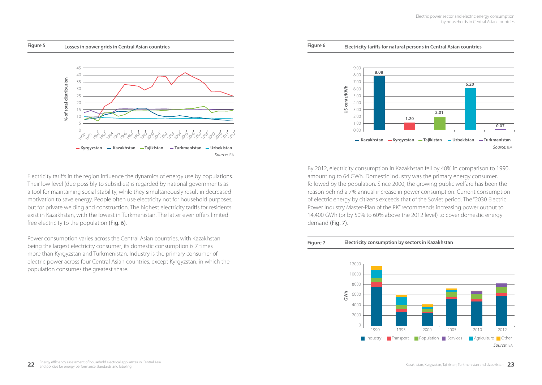

By 2012, electricity consumption in Kazakhstan fell by 40% in comparison to 1990, amounting to 64 GWh. Domestic industry was the primary energy consumer, followed by the population. Since 2000, the growing public welfare has been the reason behind a 7% annual increase in power consumption. Current consumption of electric energy by citizens exceeds that of the Soviet period. The "2030 Electric Power Industry Master-Plan of the RK" recommends increasing power output to 14,400 GWh (or by 50% to 60% above the 2012 level) to cover domestic energy demand the state of the state of the mounting to 64<br>By 2012, electric<br>Followed by the<br>The mand the power Industry<br>14,400 GWh (or l<br>Comand (Fig. 7).







Electricity tariffs in the region influence the dynamics of energy use by populations. Their low level (due possibly to subsidies) is regarded by national governments as a tool for maintaining social stability, while they simultaneously result in decreased motivation to save energy. People often use electricity not for household purposes, but for private welding and construction. The highest electricity tariffs for residents exist in Kazakhstan, with the lowest in Turkmenistan. The latter even offers limited free electricity to the population (Fig. 6).

Power consumption varies across the Central Asian countries, with Kazakhstan being the largest electricity consumer; its domestic consumption is 7 times more than Kyrgyzstan and Turkmenistan. Industry is the primary consumer of electric power across four Central Asian countries, except Kyrgyzstan, in which the population consumes the greatest share.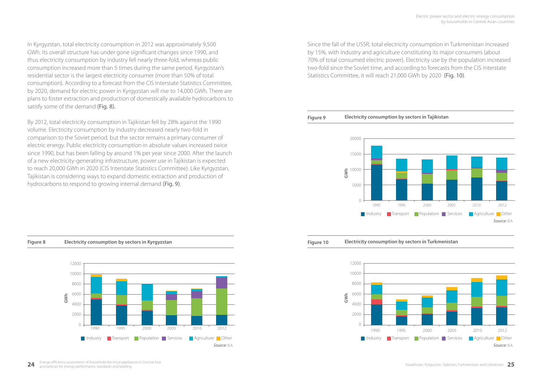In Kyrgyzstan, total electricity consumption in 2012 was approximately 9,500 GWh. Its overall structure has under gone significant changes since 1990, and thus electricity consumption by industry fell nearly three-fold, whereas public consumption increased more than 5 times during the same period. Kyrgyzstan's residential sector is the largest electricity consumer (more than 50% of total consumption). According to a forecast from the CIS Interstate Statistics Committee, by 2020, demand for electric power in Kyrgyzstan will rise to 14,000 GWh. There are plans to foster extraction and production of domestically available hydrocarbons to satisfy some of the demand (Fig. 8).

By 2012, total electricity consumption in Tajikistan fell by 28% against the 1990 volume. Electricity consumption by industry decreased nearly two-fold in comparison to the Soviet period, but the sector remains a primary consumer of electric energy. Public electricity consumption in absolute values increased twice since 1990, but has been falling by around 1% per year since 2000. After the launch of a new electricity-generating infrastructure, power use in Tajikistan is expected to reach 20,000 GWh in 2020 (CIS Interstate Statistics Committee). Like Kyrgyzstan, Tajikistan is considering ways to expand domestic extraction and production of hydrocarbons to respond to growing internal demand (Fig. 9).

Since the fall of the USSR, total electricity consumption in Turkmenistan increased by 15%, with industry and agriculture constituting its major consumers (about 70% of total consumed electric power). Electricity use by the population increased two-fold since the Soviet time, and according to forecasts from the CIS Interstate Statistics Committee, it will reach 21,000 GWh by 2020 (Fig. 10).

#### **Figure 9 Electricity consumption by sectors in Tajikistan**



### **Figure 8 Electricity consumption by sectors in Kyrgyzstan**



**Figure 10 Electricity consumption by sectors in Turkmenistan** 

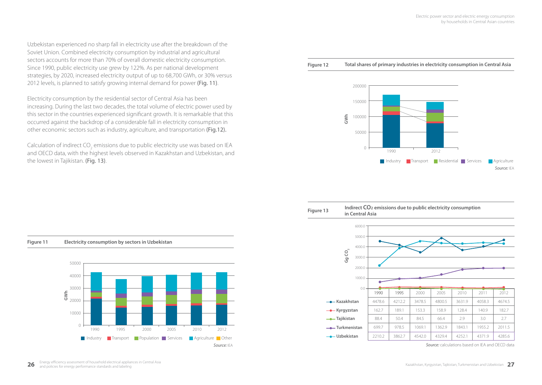Uzbekistan experienced no sharp fall in electricity use after the breakdown of the Soviet Union. Combined electricity consumption by industrial and agricultural sectors accounts for more than 70% of overall domestic electricity consumption. Since 1990, public electricity use grew by 122%. As per national development strategies, by 2020, increased electricity output of up to 68,700 GWh, or 30% versus 2012 levels, is planned to satisfy growing internal demand for power (Fig. 11).

Electricity consumption by the residential sector of Central Asia has been increasing. During the last two decades, the total volume of electric power used by this sector in the countries experienced significant growth. It is remarkable that this occurred against the backdrop of a considerable fall in electricity consumption in other economic sectors such as industry, agriculture, and transportation (Fig.12).

Calculation of indirect CO<sub>2</sub> emissions due to public electricity use was based on IEA and OECD data, with the highest levels observed in Kazakhstan and Uzbekistan, and the lowest in Tajikistan. (Fig. 13).



1990 2012

**Industry Transport Residential Services Agriculture** 

*Source:* IEA

**Figure 12 Total shares of primary industries in electricity consumption in Central Asia** 

 $\bigcap$ 



*Source:* calculations based on IEA and OECD data

# 50000 40000 30000 20000 10000 0 **GWh** 1990 1995 2000 2005 2010 2012 Industry Transport Population Services Agriculture Other *Source:* IEA

### **Figure 11 Electricity consumption by sectors in Uzbekistan**

26 **Energy efficiency assessment of household electrical appliances in Central Asia <b>and architectural Asia and asia and architectural Asia and Asia and Asia and Asia and Uzbekistan and Uzbekistan and Uzbekistan and Uzbeki**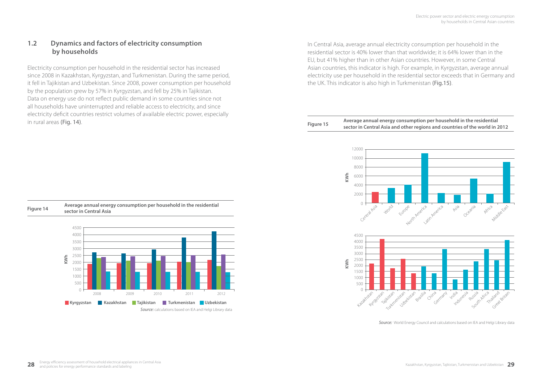### **1.2 Dynamics and factors of electricity consumption by households**

Electricity consumption per household in the residential sector has increased since 2008 in Kazakhstan, Kyrgyzstan, and Turkmenistan. During the same period, it fell in Tajikistan and Uzbekistan. Since 2008, power consumption per household by the population grew by 57% in Kyrgyzstan, and fell by 25% in Tajikistan. Data on energy use do not reflect public demand in some countries since not all households have uninterrupted and reliable access to electricity, and since electricity deficit countries restrict volumes of available electric power, especially in rural areas (Fig. 14). **Figure 15 Average annual energy consumption per household in the residential** 

In Central Asia, average annual electricity consumption per household in the residential sector is 40% lower than that worldwide; it is 64% lower than in the EU, but 41% higher than in other Asian countries. However, in some Central Asian countries, this indicator is high. For example, in Kyrgyzstan, average annual electricity use per household in the residential sector exceeds that in Germany and the UK. This indicator is also high in Turkmenistan (Fig.15).

 **sector in Central Asia and other regions and countries of the world in 2012**



*Source:* World Energy Council and calculations based on IEA and Helgi Library data



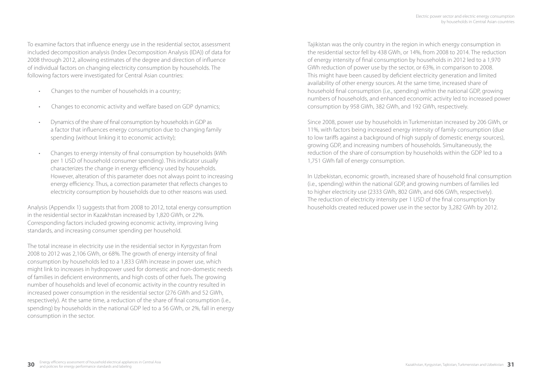To examine factors that influence energy use in the residential sector, assessment included decomposition analysis (Index Decomposition Analysis (IDA)) of data for 2008 through 2012, allowing estimates of the degree and direction of influence of individual factors on changing electricity consumption by households. The following factors were investigated for Central Asian countries:

- Changes to the number of households in a country;
- Changes to economic activity and welfare based on GDP dynamics;
- Dynamics of the share of final consumption by households in GDP as a factor that influences energy consumption due to changing family spending (without linking it to economic activity);
- Changes to energy intensity of final consumption by households (kWh per 1 USD of household consumer spending). This indicator usually characterizes the change in energy efficiency used by households. However, alteration of this parameter does not always point to increasing energy efficiency. Thus, a correction parameter that reflects changes to electricity consumption by households due to other reasons was used.

Analysis (Appendix 1) suggests that from 2008 to 2012, total energy consumption in the residential sector in Kazakhstan increased by 1,820 GWh, or 22%. Corresponding factors included growing economic activity, improving living standards, and increasing consumer spending per household.

The total increase in electricity use in the residential sector in Kyrgyzstan from 2008 to 2012 was 2,106 GWh, or 68%. The growth of energy intensity of final consumption by households led to a 1,833 GWh increase in power use, which might link to increases in hydropower used for domestic and non-domestic needs of families in deficient environments, and high costs of other fuels. The growing number of households and level of economic activity in the country resulted in increased power consumption in the residential sector (276 GWh and 52 GWh, respectively). At the same time, a reduction of the share of final consumption (i.e., spending) by households in the national GDP led to a 56 GWh, or 2%, fall in energy consumption in the sector.

Tajikistan was the only country in the region in which energy consumption in the residential sector fell by 438 GWh, or 14%, from 2008 to 2014. The reduction of energy intensity of final consumption by households in 2012 led to a 1,970 GWh reduction of power use by the sector, or 63%, in comparison to 2008. This might have been caused by deficient electricity generation and limited availability of other energy sources. At the same time, increased share of household final consumption (i.e., spending) within the national GDP, growing numbers of households, and enhanced economic activity led to increased power consumption by 958 GWh, 382 GWh, and 192 GWh, respectively.

Since 2008, power use by households in Turkmenistan increased by 206 GWh, or 11%, with factors being increased energy intensity of family consumption (due to low tariffs against a background of high supply of domestic energy sources), growing GDP, and increasing numbers of households. Simultaneously, the reduction of the share of consumption by households within the GDP led to a 1,751 GWh fall of energy consumption.

In Uzbekistan, economic growth, increased share of household final consumption (i.e., spending) within the national GDP, and growing numbers of families led to higher electricity use (2333 GWh, 802 GWh, and 606 GWh, respectively). The reduction of electricity intensity per 1 USD of the final consumption by households created reduced power use in the sector by 3,282 GWh by 2012.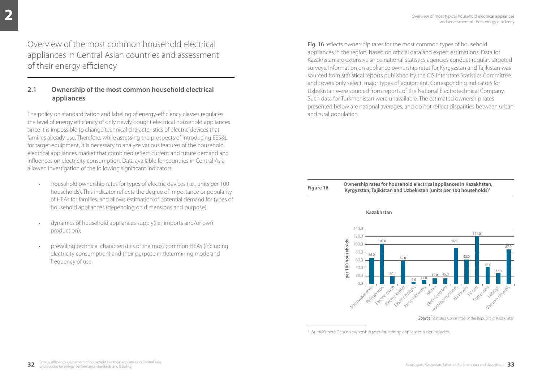Overview of the most common household electrical appliances in Central Asian countries and assessment of their energy efficiency

### **2.1 Ownership of the most common household electrical appliances**

The policy on standardization and labeling of energy-efficiency classes regulates the level of energy efficiency of only newly bought electrical household appliances since it is impossible to change technical characteristics of electric devices that families already use. Therefore, while assessing the prospects of introducing EES&L for target equipment, it is necessary to analyze various features of the household electrical appliances market that combined reflect current and future demand and influences on electricity consumption. Data available for countries in Central Asia allowed investigation of the following significant indicators:

- household ownership rates for types of electric devices (i.e., units per 100 households). This indicator reflects the degree of importance or popularity of HEAs for families, and allows estimation of potential demand for types of household appliances (depending on dimensions and purpose);
- dynamics of household appliances supply(i.e., imports and/or own production);
- prevailing technical characteristics of the most common HEAs (including electricity consumption) and their purpose in determining mode and frequency of use.

Fig. 16 reflects ownership rates for the most common types of household appliances in the region, based on official data and expert estimations. Data for Kazakhstan are extensive since national statistics agencies conduct regular, targeted surveys. Information on appliance ownership rates for Kyrgyzstan and Tajikistan was sourced from statistical reports published by the CIS Interstate Statistics Committee, and covers only select, major types of equipment. Corresponding indicators for Uzbekistan were sourced from reports of the National Electrotechnical Company. Such data for Turkmenistan were unavailable. The estimated ownership rates presented below are national averages, and do not reflect disparities between urban and rural population.

#### **Figure 16 Ownership rates for household electrical appliances in Kazakhstan, Kyrgyzstan, Tajikistan and Uzbekistan (units per 100 households)1**

#### **Kazakhstan**



*Source:* Statistics Committee of the Republic of Kazakhstan

<sup>1</sup> Author's note.Data on ownership rates for lighting appliances is not included.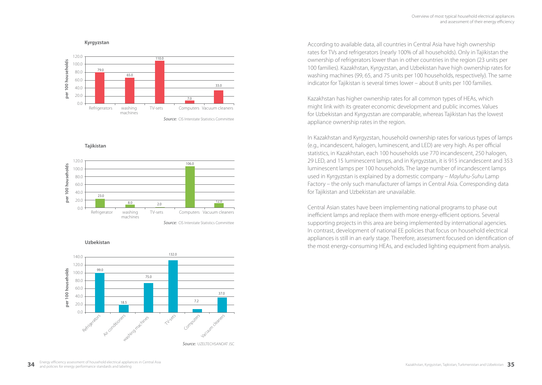

**Tajikistan**



**Uzbekistan**



According to available data, all countries in Central Asia have high ownership rates for TVs and refrigerators (nearly 100% of all households). Only in Tajikistan the ownership of refrigerators lower than in other countries in the region (23 units per 100 families). Kazakhstan, Kyrgyzstan, and Uzbekistan have high ownership rates for washing machines (99, 65, and 75 units per 100 households, respectively). The same indicator for Tajikistan is several times lower – about 8 units per 100 families.

Kazakhstan has higher ownership rates for all common types of HEAs, which might link with its greater economic development and public incomes. Values for Uzbekistan and Kyrgyzstan are comparable, whereas Tajikistan has the lowest appliance ownership rates in the region.

In Kazakhstan and Kyrgyzstan, household ownership rates for various types of lamps (e.g., incandescent, halogen, luminescent, and LED) are very high. As per official statistics, in Kazakhstan, each 100 households use 770 incandescent, 250 halogen, 29 LED, and 15 luminescent lamps, and in Kyrgyzstan, it is 915 incandescent and 353 luminescent lamps per 100 households. The large number of incandescent lamps used in Kyrgyzstan is explained by a domestic company – *Mayluhu-Suhu* Lamp Factory – the only such manufacturer of lamps in Central Asia. Corresponding data for Tajikistan and Uzbekistan are unavailable.

Central Asian states have been implementing national programs to phase out inefficient lamps and replace them with more energy-efficient options. Several supporting projects in this area are being implemented by international agencies. In contrast, development of national EE policies that focus on household electrical appliances is still in an early stage. Therefore, assessment focused on identification of the most energy-consuming HEAs, and excluded lighting equipment from analysis.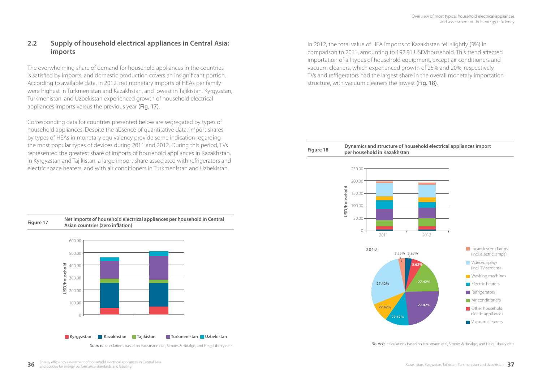### **2.2 Supply of household electrical appliances in Central Asia: imports**

The overwhelming share of demand for household appliances in the countries is satisfied by imports, and domestic production covers an insignificant portion. According to available data, in 2012, net monetary imports of HEAs per family were highest in Turkmenistan and Kazakhstan, and lowest in Tajikistan. Kyrgyzstan, Turkmenistan, and Uzbekistan experienced growth of household electrical appliances imports versus the previous year (Fig. 17).

Corresponding data for countries presented below are segregated by types of household appliances. Despite the absence of quantitative data, import shares by types of HEAs in monetary equivalency provide some indication regarding the most popular types of devices during 2011 and 2012. During this period, TVs represented the greatest share of imports of household appliances in Kazakhstan. In Kyrgyzstan and Tajikistan, a large import share associated with refrigerators and electric space heaters, and with air conditioners in Turkmenistan and Uzbekistan.

In 2012, the total value of HEA imports to Kazakhstan fell slightly (3%) in comparison to 2011, amounting to 192.81 USD/household. This trend affected importation of all types of household equipment, except air conditioners and vacuum cleaners, which experienced growth of 25% and 20%, respectively. TVs and refrigerators had the largest share in the overall monetary importation structure, with vacuum cleaners the lowest (Fig. 18).



*Source:* calculations based on Hausmann etal, Simoes & Hidalgo, and Helgi Library data

**Figure 17 Net imports of household electrical appliances per household in Central Asian countries (zero inflation)**



**Source:** calculations based on Hausmann etal, Simoes & Hidalgo, and Helgi Library data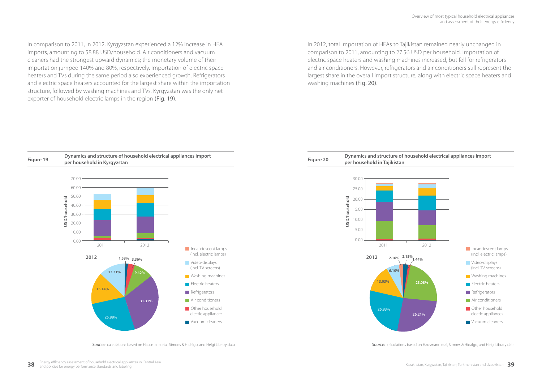In comparison to 2011, in 2012, Kyrgyzstan experienced a 12% increase in HEA imports, amounting to 58.88 USD/household. Air conditioners and vacuum cleaners had the strongest upward dynamics; the monetary volume of their importation jumped 140% and 80%, respectively. Importation of electric space heaters and TVs during the same period also experienced growth. Refrigerators and electric space heaters accounted for the largest share within the importation structure, followed by washing machines and TVs. Kyrgyzstan was the only net exporter of household electric lamps in the region (Fig. 19).

In 2012, total importation of HEAs to Tajikistan remained nearly unchanged in comparison to 2011, amounting to 27.56 USD per household. Importation of electric space heaters and washing machines increased, but fell for refrigerators and air conditioners. However, refrigerators and air conditioners still represent the largest share in the overall import structure, along with electric space heaters and washing machines (Fig. 20).



**Source:** calculations based on Hausmann etal, Simoes & Hidalgo, and Helgi Library data **Source:** calculations based on Hausmann etal, Simoes & Hidalgo, and Helgi Library data **Source:** calculations based on Hausmann etal,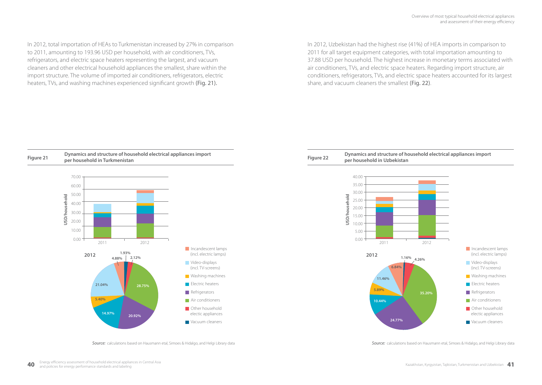In 2012, total importation of HEAs to Turkmenistan increased by 27% in comparison to 2011, amounting to 193.96 USD per household, with air conditioners, TVs, refrigerators, and electric space heaters representing the largest, and vacuum cleaners and other electrical household appliances the smallest, share within the import structure. The volume of imported air conditioners, refrigerators, electric heaters, TVs, and washing machines experienced significant growth (Fig. 21).

In 2012, Uzbekistan had the highest rise (41%) of HEA imports in comparison to 2011 for all target equipment categories, with total importation amounting to 37.88 USD per household. The highest increase in monetary terms associated with air conditioners, TVs, and electric space heaters. Regarding import structure, air conditioners, refrigerators, TVs, and electric space heaters accounted for its largest share, and vacuum cleaners the smallest (Fig. 22).



**Source:** calculations based on Hausmann etal. Simoes & Hidalgo, and Helgi Library data **Source:** calculations based on Hausmann etal, Simoes & Hidalgo, and Helgi Library data **Source:** calculations based on Hausmann etal,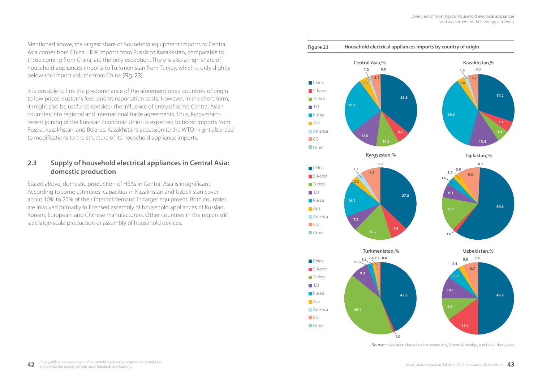Mentioned above, the largest share of household equipment imports to Central Asia comes from China. HEA imports from Russia to Kazakhstan, comparable to those coming from China, are the only exception. There is also a high share of household appliances imports to Turkmenistan from Turkey, which is only slightly below the import volume from China (Fig. 23).

It is possible to link the predominance of the aforementioned countries of origin to low prices, customs fees, and transportation costs. However, in the short-term, it might also be useful to consider the influence of entry of some Central Asian countries into regional and international trade agreements. Thus, Kyrgyzstan's recent joining of the Eurasian Economic Union is expected to boost imports from Russia, Kazakhstan, and Belarus. Kazakhstan's accession to the WTO might also lead to modifications to the structure of its household appliance imports.

### **2.3 Supply of household electrical appliances in Central Asia: domestic production**

Stated above, domestic production of HEAs in Central Asia is insignificant. According to some estimates, capacities in Kazakhstan and Uzbekistan cover about 10% to 20% of their internal demand in target equipment. Both countries are involved primarily in licensed assembly of household appliances of Russian, Korean, European, and Chinese manufacturers. Other countries in the region still lack large-scale production or assembly of household devices.





**Source:** calculations based on Hausmann etal, Simoes & Hidalgo, and Helgi Library data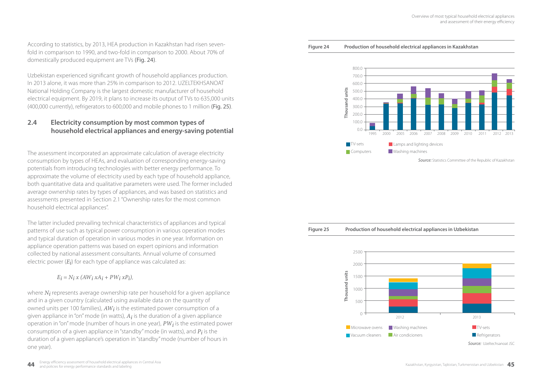According to statistics, by 2013, HEA production in Kazakhstan had risen sevenfold in comparison to 1990, and two-fold in comparison to 2000. About 70% of domestically produced equipment are TVs (Fig. 24).

Uzbekistan experienced significant growth of household appliances production. In 2013 alone, it was more than 25% in comparison to 2012. UZELTEKHSANOAT National Holding Company is the largest domestic manufacturer of household electrical equipment. By 2019, it plans to increase its output of TVs to 635,000 units (400,000 currently), refrigerators to 600,000 and mobile phones to 1 million (Fig. 25).

### **2.4 Electricity consumption by most common types of household electrical appliances and energy-saving potential**

The assessment incorporated an approximate calculation of average electricity consumption by types of HEAs, and evaluation of corresponding energy-saving potentials from introducing technologies with better energy performance. To approximate the volume of electricity used by each type of household appliance, both quantitative data and qualitative parameters were used. The former included average ownership rates by types of appliances, and was based on statistics and assessments presented in Section 2.1 "Ownership rates for the most common household electrical appliances".

The latter included prevailing technical characteristics of appliances and typical patterns of use such as typical power consumption in various operation modes and typical duration of operation in various modes in one year. Information on appliance operation patterns was based on expert opinions and information collected by national assessment consultants. Annual volume of consumed electric power (*Ei*) for each type of appliance was calculated as:

 $E_i = N_i x (AW_i xA_i + PW_i xP_i)$ 

where *N<sub>i</sub>* represents average ownership rate per household for a given appliance and in a given country (calculated using available data on the quantity of owned units per 100 families), *AWi* is the estimated power consumption of a given appliance in "on" mode (in watts), *Ai* is the duration of a given appliance operation in "on" mode (number of hours in one year), *PWi* is the estimated power consumption of a given appliance in "standby" mode (in watts), and *Pi* is the duration of a given appliance's operation in "standby" mode (number of hours in one year).

#### **Figure 24 Production of household electrical appliances in Kazakhstan**





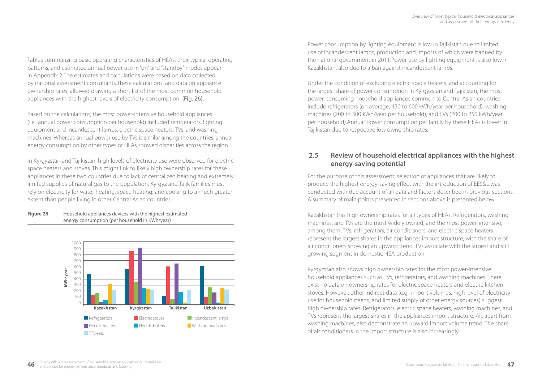Tables summarizing basic operating characteristics of HEAs, their typical operating patterns, and estimated annual power use in "on" and "standby" modes appear in Appendix 2.The estimates and calculations were based on data collected by national assessment consultants.These calculations, and data on appliance ownership rates, allowed drawing a short list of the most common household appliances with the highest levels of electricity consumption (Fig. 26).

Based on the calculations, the most power-intensive household appliances (i.e., annual power consumption per household) included refrigerators, lighting equipment and incandescent lamps, electric space heaters, TVs, and washing machines. Whereas annual power use by TVs is similar among the countries, annual energy consumption by other types of HEAs showed disparities across the region.

In Kyrgyzstan and Tajikistan, high levels of electricity use were observed for electric space heaters and stoves. This might link to likely high ownership rates for these appliances in these two countries due to lack of centralized heating and extremely limited supplies of natural gas to the population. Kyrgyz and Tajik families must rely on electricity for water heating, space heating, and cooking to a much greater extent than people living in other Central Asian countries.





Power consumption by lighting equipment is low in Tajikistan due to limited use of incandescent lamps, production and imports of which were banned by the national government in 2011.Power use by lighting equipment is also low in Kazakhstan, also due to a ban against incandescent lamps.

Under the condition of excluding electric space heaters, and accounting for the largest share of power consumption in Kyrgyzstan and Tajikistan, the most power-consuming household appliances common to Central Asian countries include refrigerators (on average, 450 to 600 kWh/year per household), washing machines (200 to 300 kWh/year per household), and TVs (200 to 250 kWh/year per household).Annual power consumption per family by these HEAs is lower in Tajikistan due to respective low ownership rates.

### **2.5 Review of household electrical appliances with the highest energy-saving potential**

For the purpose of this assessment, selection of appliances that are likely to produce the highest energy-saving effect with the introduction of EES&L was conducted with due account of all data and factors described in previous sections. A summary of main points presented in sections above is presented below.

Kazakhstan has high ownership rates for all types of HEAs. Refrigerators, washing machines, and TVs are the most widely owned, and the most power-intensive, among them. TVs, refrigerators, air conditioners, and electric space heaters represent the largest shares in the appliances import structure, with the share of air conditioners showing an upward trend. TVs associate with the largest and still growing segment in domestic HEA production.

Kyrgyzstan also shows high ownership rates for the most power-intensive household appliances such as TVs, refrigerators, and washing machines. There exist no data on ownership rates for electric space heaters and electric kitchen stoves. However, other indirect data (e.g., import volumes, high level of electricity use for household needs, and limited supply of other energy sources) suggest high ownership rates. Refrigerators, electric space heaters, washing machines, and TVs represent the largest shares in the appliances import structure. All, apart from washing machines, also demonstrate an upward import volume trend. The share of air conditioners in the import structure is also increasingly.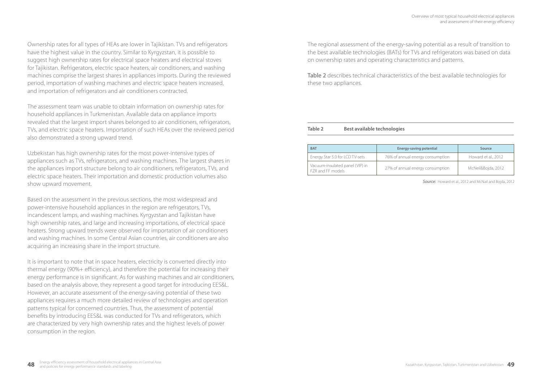Ownership rates for all types of HEAs are lower in Tajikistan. TVs and refrigerators have the highest value in the country. Similar to Kyrgyzstan, it is possible to suggest high ownership rates for electrical space heaters and electrical stoves for Tajikistan. Refrigerators, electric space heaters, air conditioners, and washing machines comprise the largest shares in appliances imports. During the reviewed period, importation of washing machines and electric space heaters increased, and importation of refrigerators and air conditioners contracted.

The assessment team was unable to obtain information on ownership rates for household appliances in Turkmenistan. Available data on appliance imports revealed that the largest import shares belonged to air conditioners, refrigerators, TVs, and electric space heaters. Importation of such HEAs over the reviewed period also demonstrated a strong upward trend.

Uzbekistan has high ownership rates for the most power-intensive types of appliances such as TVs, refrigerators, and washing machines. The largest shares in the appliances import structure belong to air conditioners, refrigerators, TVs, and electric space heaters. Their importation and domestic production volumes also show upward movement.

Based on the assessment in the previous sections, the most widespread and power-intensive household appliances in the region are refrigerators, TVs, incandescent lamps, and washing machines. Kyrgyzstan and Tajikistan have high ownership rates, and large and increasing importations, of electrical space heaters. Strong upward trends were observed for importation of air conditioners and washing machines. In some Central Asian countries, air conditioners are also acquiring an increasing share in the import structure.

It is important to note that in space heaters, electricity is converted directly into thermal energy (90%+ efficiency), and therefore the potential for increasing their energy performance is in significant. As for washing machines and air conditioners, based on the analysis above, they represent a good target for introducing EES&L. However, an accurate assessment of the energy-saving potential of these two appliances requires a much more detailed review of technologies and operation patterns typical for concerned countries. Thus, the assessment of potential benefits by introducing EES&L was conducted for TVs and refrigerators, which are characterized by very high ownership rates and the highest levels of power consumption in the region.

The regional assessment of the energy-saving potential as a result of transition to the best available technologies (BATs) for TVs and refrigerators was based on data on ownership rates and operating characteristics and patterns.

Table 2 describes technical characteristics of the best available technologies for these two appliances.

#### **Table 2 Best available technologies**

| <b>BAT</b>                                           | Energy-saving potential          | Source              |  |
|------------------------------------------------------|----------------------------------|---------------------|--|
| Energy Star 5.0 for LCD TV-sets                      | 76% of annual energy consumption | Howard et al., 2012 |  |
| Vacuum-insulated panel (VIP) in<br>FZR and FF models | 27% of annual energy consumption | McNeil&Bojda, 2012  |  |

*Source:* Howard et al., 2012 and McNail and Bojda, 2012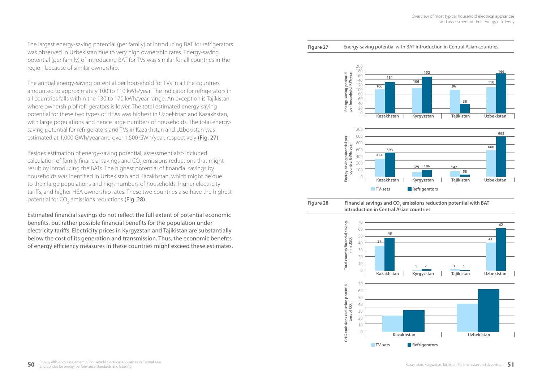The largest energy-saving potential (per family) of introducing BAT for refrigerators was observed in Uzbekistan due to very high ownership rates. Energy-saving potential (per family) of introducing BAT for TVs was similar for all countries in the region because of similar ownership.

The annual energy-saving potential per household for TVs in all the countries amounted to approximately 100 to 110 kWh/year. The indicator for refrigerators in all countries falls within the 130 to 170 kWh/year range. An exception is Tajikistan, where ownership of refrigerators is lower. The total estimated energy-saving potential for these two types of HEAs was highest in Uzbekistan and Kazakhstan, with large populations and hence large numbers of households. The total energysaving potential for refrigerators and TVs in Kazakhstan and Uzbekistan was estimated at 1,000 GWh/year and over 1,500 GWh/year, respectively (Fig. 27).

Besides estimation of energy-saving potential, assessment also included calculation of family financial savings and CO<sub>2</sub> emissions reductions that might result by introducing the BATs. The highest potential of financial savings by households was identified in Uzbekistan and Kazakhstan, which might be due to their large populations and high numbers of households, higher electricity tariffs, and higher HEA ownership rates. These two countries also have the highest potential for CO $_{_2}$  emissions reductions **(Fig. 28).** 

Estimated financial savings do not reflect the full extent of potential economic benefits, but rather possible financial benefits for the population under electricity tariffs. Electricity prices in Kyrgyzstan and Tajikistan are substantially below the cost of its generation and transmission. Thus, the economic benefits of energy efficiency measures in these countries might exceed these estimates.

#### **Figure 27** Energy-saving potential with BAT introduction in Central Asian countries



#### **Figure 28 Financial savings and CO<sub>2</sub> emissions reduction potential with BAT introduction in Central Asian countries**

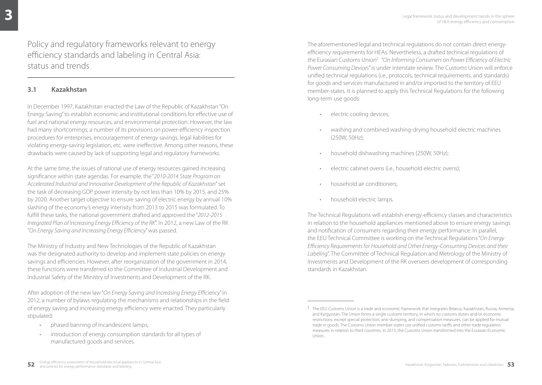Policy and regulatory frameworks relevant to energy efficiency standards and labeling in Central Asia: status and trends

### **3.1 Kazakhstan**

In December 1997, Kazakhstan enacted the Law of the Republic of Kazakhstan "On Energy Saving" to establish economic and institutional conditions for effective use of fuel and national energy resources, and environmental protection. However, the law had many shortcomings; a number of its provisions on power-efficiency inspection procedures for enterprises, encouragement of energy savings, legal liabilities for violating energy-saving legislation, etc. were ineffective. Among other reasons, these drawbacks were caused by lack of supporting legal and regulatory frameworks.

At the same time, the issues of rational use of energy resources gained increasing significance within state agendas. For example, the "*2010-2014 State Program on Accelerated Industrial and Innovative Development of the Republic of Kazakhstan*" set the task of decreasing GDP power intensity by not less than 10% by 2015, and 25% by 2020. Another target objective to ensure saving of electric energy by annual 10% slashing of the economy's energy intensity from 2013 to 2015 was formulated. To fulfill these tasks, the national government drafted and approved the "*2012-2015 Integrated Plan of Increasing Energy Efficiency of the RK*". In 2012, a new Law of the RK "*On Energy Saving and Increasing Energy Efficiency*" was passed.

The Ministry of Industry and New Technologies of the Republic of Kazakhstan was the designated authority to develop and implement state policies on energy savings and efficiencies. However, after reorganization of the government in 2014, these functions were transferred to the Committee of Industrial Development and Industrial Safety of the Ministry of Investments and Development of the RK.

After adoption of the new law "*On Energy Saving and Increasing Energy Efficiency*" in 2012, a number of bylaws regulating the mechanisms and relationships in the field of energy saving and increasing energy efficiency were enacted. They particularly stipulated:

- phased banning of incandescent lamps;
- introduction of energy consumption standards for all types of manufactured goods and services.

The aforementioned legal and technical regulations do not contain direct energyefficiency requirements for HEAs. Nevertheless, a drafted technical regulations of the Eurasian Customs Union2 "*On Informing Consumers on Power Efficiency of Electric Power Consuming Devices*" is under interstate review. The Customs Union will enforce unified technical regulations (i.e., protocols, technical requirements, and standards) for goods and services manufactured in and/or imported to the territory of EEU member-states. It is planned to apply this Technical Regulations for the following long-term use goods:

- electric cooling devices;
- washing and combined washing-drying household electric machines (250W, 50Hz);
- household dishwashing machines (250W, 50Hz);
- electric cabinet ovens (i.e., household electric ovens);
- household air conditioners;
- household electric lamps.

The Technical Regulations will establish energy-efficiency classes and characteristics in relation to the household appliances mentioned above to ensure energy savings and notification of consumers regarding their energy performance. In parallel, the EEU Technical Committee is working on the Technical Regulations "*On Energy Efficiency Requirements for Household and Other Energy-Consuming Devices and their Labeling*". The Committee of Technical Regulation and Metrology of the Ministry of Investments and Development of the RK oversees development of corresponding standards in Kazakhstan.

<sup>&</sup>lt;sup>2</sup> The EEU Customs Union is a trade and economic framework that integrates Belarus, Kazakhstan, Russia, Armenia, and Kyrgyzstan. The Union forms a single customs territory, in which no customs duties and/or economic restrictions, except special protection, anti-dumping, and compensation measures, can be applied for mutual trade in goods. The Customs Union member-states use unified customs tariffs and other trade regulation measures in relation to third countries. In 2015, the Customs Union transformed into the Eurasian Economic Union.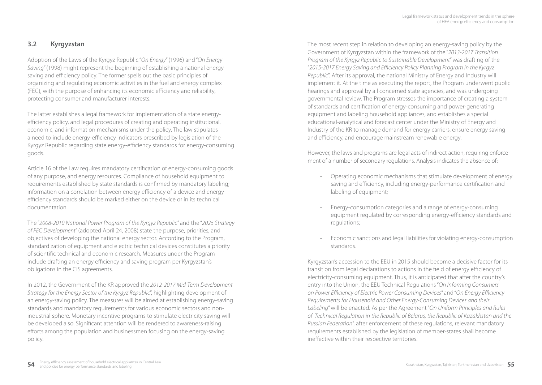### **3.2 Kyrgyzstan**

Adoption of the Laws of the Kyrgyz Republic "*On Energy*" (1996) and "*On Energy Saving*" (1998) might represent the beginning of establishing a national energy saving and efficiency policy. The former spells out the basic principles of organizing and regulating economic activities in the fuel and energy complex (FEC), with the purpose of enhancing its economic efficiency and reliability, protecting consumer and manufacturer interests.

The latter establishes a legal framework for implementation of a state energyefficiency policy, and legal procedures of creating and operating institutional, economic, and information mechanisms under the policy. The law stipulates a need to include energy-efficiency indicators prescribed by legislation of the Kyrgyz Republic regarding state energy-efficiency standards for energy-consuming goods.

Article 16 of the Law requires mandatory certification of energy-consuming goods of any purpose, and energy resources. Compliance of household equipment to requirements established by state standards is confirmed by mandatory labeling; information on a correlation between energy efficiency of a device and energyefficiency standards should be marked either on the device or in its technical documentation.

The "*2008-2010 National Power Program of the Kyrgyz Republic*" and the "*2025 Strategy of FEC Development*" (adopted April 24, 2008) state the purpose, priorities, and objectives of developing the national energy sector. According to the Program, standardization of equipment and electric technical devices constitutes a priority of scientific technical and economic research. Measures under the Program include drafting an energy efficiency and saving program per Kyrgyzstan's obligations in the CIS agreements.

In 2012, the Government of the KR approved the *2012-2017 Mid-Term Development Strategy for the Energy Sector of the Kyrgyz Republic*", highlighting development of an energy-saving policy. The measures will be aimed at establishing energy-saving standards and mandatory requirements for various economic sectors and nonindustrial sphere. Monetary incentive programs to stimulate electricity saving will be developed also. Significant attention will be rendered to awareness-raising efforts among the population and businessmen focusing on the energy-saving policy.

The most recent step in relation to developing an energy-saving policy by the Government of Kyrgyzstan within the framework of the "*2013-2017 Transition Program of the Kyrgyz Republic to Sustainable Development*" was drafting of the "*2015-2017 Energy Saving and Efficiency Policy Planning Program in the Kyrgyz Republic*". After its approval, the national Ministry of Energy and Industry will implement it. At the time as executing the report, the Program underwent public hearings and approval by all concerned state agencies, and was undergoing governmental review. The Program stresses the importance of creating a system of standards and certification of energy-consuming and power-generating equipment and labeling household appliances, and establishes a special educational-analytical and forecast center under the Ministry of Energy and Industry of the KR to manage demand for energy carriers, ensure energy saving and efficiency, and encourage mainstream renewable energy.

However, the laws and programs are legal acts of indirect action, requiring enforcement of a number of secondary regulations. Analysis indicates the absence of:

- Operating economic mechanisms that stimulate development of energy saving and efficiency, including energy-performance certification and labeling of equipment;
- Energy-consumption categories and a range of energy-consuming equipment regulated by corresponding energy-efficiency standards and regulations;
- Economic sanctions and legal liabilities for violating energy-consumption standards.

Kyrgyzstan's accession to the EEU in 2015 should become a decisive factor for its transition from legal declarations to actions in the field of energy efficiency of electricity-consuming equipment. Thus, it is anticipated that after the country's entry into the Union, the EEU Technical Regulations "*On Informing Consumers on Power Efficiency of Electric Power Consuming Devices*" and "*On Energy Efficiency Requirements for Household and Other Energy-Consuming Devices and their Labeling*" will be enacted. As per the Agreement "*On Uniform Principles and Rules of Technical Regulation in the Republic of Belarus, the Republic of Kazakhstan and the Russian Federation*", after enforcement of these regulations, relevant mandatory requirements established by the legislation of member-states shall become ineffective within their respective territories.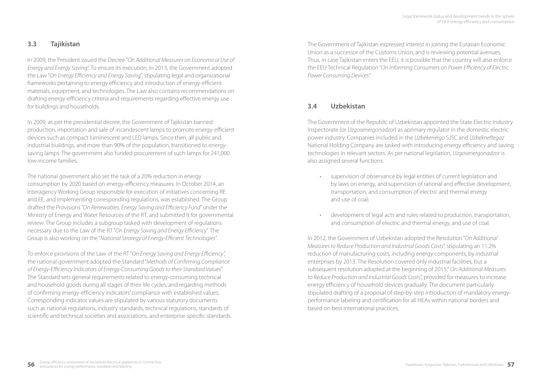### **3.3 Tajikistan**

In 2009, the President issued the Decree "*On Additional Measures on Economical Use of Energy and Energy Saving*". To ensure its execution, in 2013, the Government adopted the Law "*On Energy Efficiency and Energy Saving*", stipulating legal and organizational frameworks pertaining to energy efficiency and introduction of energy-efficient materials, equipment, and technologies. The Law also contains recommendations on drafting energy-efficiency criteria and requirements regarding effective energy use for buildings and households.

In 2009, as per the presidential decree, the Government of Tajikistan banned production, importation and sale of incandescent lamps to promote energy-efficient devices such as compact luminescent and LED lamps. Since then, all public and industrial buildings, and more than 90% of the population, transitioned to energysaving lamps. The government also funded procurement of such lamps for 241,000 low-income families.

The national government also set the task of a 20% reduction in energy consumption by 2020 based on energy-efficiency measures. In October 2014, an Interagency Working Group responsible for execution of initiatives concerning RE and EE, and implementing corresponding regulations, was established. The Group drafted the Provisions "*On Renewables, Energy Saving and Efficiency Fund*" under the Ministry of Energy and Water Resources of the RT, and submitted it for governmental review. The Group includes a subgroup tasked with development of regulations necessary due to the Law of the RT "*On Energy Saving and Energy Efficiency*". The Group is also working on the "*National Strategy of Energy-Efficient Technologies*".

To enforce provisions of the Law of the RT "*On Energy Saving and Energy Efficiency",*  the national government adopted the Standard "*Methods of Confirming Compliance of Energy-Efficiency Indicators of Energy-Consuming Goods to their Standard Values*". The Standard sets general requirements related to energy-consuming technical and household goods during all stages of their life cycles, and regarding methods of confirming energy-efficiency indicators' compliance with established values. Corresponding indicator values are stipulated by various statutory documents such as national regulations, industry standards, technical regulations, standards of scientific and technical societies and associations, and enterprise-specific standards. The Government of Tajikistan expressed interest in joining the Eurasian Economic Union as a successor of the Customs Union, and is reviewing potential avenues. Thus, in case Tajikistan enters the EEU, it is possible that the country will also enforce the EEU Technical Regulation "*On Informing Consumers on Power Efficiency of Electric Power Consuming Devices*".

### **3.4 Uzbekistan**

The Government of the Republic of Uzbekistan appointed the State Electric Industry Inspectorate (or *Uzgosenergonadzor*) as aprimary regulator in the domestic electric power industry. Companies included in the *Uzbekenergo* SJSC and *Uzbekneftegaz*  National Holding Company are tasked with introducing energy efficiency and saving technologies in relevant sectors. As per national legislation, *Uzgosenergonadzor* is also assigned several functions:

- supervision of observance by legal entities of current legislation and by laws on energy, and supervision of rational and effective development, transportation, and consumption of electric and thermal energy and use of coal;
- development of legal acts and rules related to production, transportation, and consumption of electric and thermal energy, and use of coal.

In 2012, the Government of Uzbekistan adopted the Resolution "*On Additional Measures to Reduce Production and Industrial Goods Costs*", stipulating an 11.2% reduction of manufacturing costs, including energy components, by industrial enterprises by 2013. The Resolution covered only industrial facilities, but a subsequent resolution adopted at the beginning of 2015," *On Additional Measures to Reduce Production and Industrial Goods Costs*", provided for measures to increase energy efficiency of household devices gradually. The document particularly stipulated drafting of a proposal of step-by-step introduction of mandatory energyperformance labeling and certification for all HEAs within national borders and based on best international practices.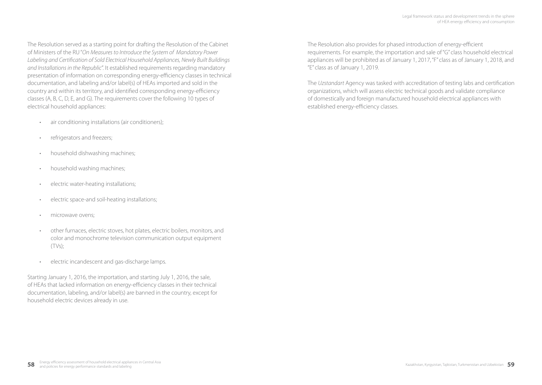The Resolution served as a starting point for drafting the Resolution of the Cabinet of Ministers of the RU "*On Measures to Introduce the System of Mandatory Power Labeling and Certification of Sold Electrical Household Appliances, Newly Built Buildings and Installations in the Republic*". It established requirements regarding mandatory presentation of information on corresponding energy-efficiency classes in technical documentation, and labeling and/or label(s) of HEAs imported and sold in the country and within its territory, and identified corresponding energy-efficiency classes (A, B, C, D, Е, and G). The requirements cover the following 10 types of electrical household appliances:

- air conditioning installations (air conditioners);
- refrigerators and freezers;
- household dishwashing machines;
- household washing machines;
- electric water-heating installations;
- electric space-and soil-heating installations;
- microwave ovens;
- other furnaces, electric stoves, hot plates, electric boilers, monitors, and color and monochrome television communication output equipment (TVs);
- electric incandescent and gas-discharge lamps.

Starting January 1, 2016, the importation, and starting July 1, 2016, the sale, of HEAs that lacked information on energy-efficiency classes in their technical documentation, labeling, and/or label(s) are banned in the country, except for household electric devices already in use.

The Resolution also provides for phased introduction of energy-efficient requirements. For example, the importation and sale of "G" class household electrical appliances will be prohibited as of January 1, 2017, "F" class as of January 1, 2018, and "E" class as of January 1, 2019.

The *Uzstandart* Agency was tasked with accreditation of testing labs and certification organizations, which will assess electric technical goods and validate compliance of domestically and foreign manufactured household electrical appliances with established energy-efficiency classes.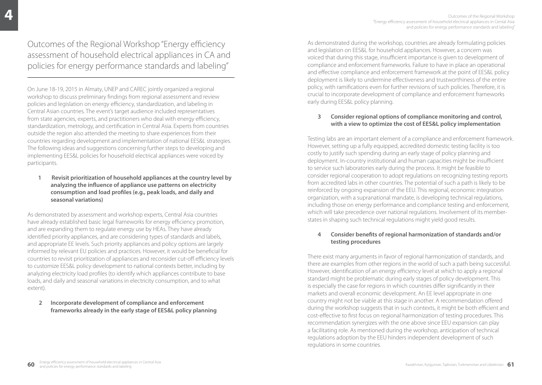# Outcomes of the Regional Workshop "Energy efficiency assessment of household electrical appliances in CA and policies for energy performance standards and labeling"

On June 18-19, 2015 in Almaty, UNEP and CAREC jointly organized a regional workshop to discuss preliminary findings from regional assessment and review policies and legislation on energy efficiency, standardization, and labeling in Central Asian countries. The event's target audience included representatives from state agencies, experts, and practitioners who deal with energy efficiency, standardization, metrology, and certification in Central Asia. Experts from countries outside the region also attended the meeting to share experiences from their countries regarding development and implementation of national EES&L strategies. The following ideas and suggestions concerning further steps to developing and implementing EES&L policies for household electrical appliances were voiced by participants.

 **1 Revisit prioritization of household appliances at the country level by analyzing the influence of appliance use patterns on electricity consumption and load profiles (e.g., peak loads, and daily and seasonal variations)**

As demonstrated by assessment and workshop experts, Central Asia countries have already established basic legal frameworks for energy efficiency promotion, and are expanding them to regulate energy use by HEAs. They have already identified priority appliances, and are considering types of standards and labels, and appropriate EE levels. Such priority appliances and policy options are largely informed by relevant EU policies and practices. However, it would be beneficial for countries to revisit prioritization of appliances and reconsider cut-off efficiency levels to customize EES&L policy development to national contexts better, including by analyzing electricity load profiles (to identify which appliances contribute to base loads, and daily and seasonal variations in electricity consumption, and to what extent).

### **2 Incorporate development of compliance and enforcement frameworks already in the early stage of EES&L policy planning**

As demonstrated during the workshop, countries are already formulating policies and legislation on EES&L for household appliances. However, a concern was voiced that during this stage, insufficient importance is given to development of compliance and enforcement frameworks. Failure to have in place an operational and effective compliance and enforcement framework at the point of EES&L policy deployment is likely to undermine effectiveness and trustworthiness of the entire policy, with ramifications even for further revisions of such policies. Therefore, it is crucial to incorporate development of compliance and enforcement frameworks early during EES&L policy planning.

### **3 Consider regional options of compliance monitoring and control, with a view to optimize the cost of EES&L policy implementation**

Testing labs are an important element of a compliance and enforcement framework. However, setting up a fully equipped, accredited domestic testing facility is too costly to justify such spending during an early stage of policy planning and deployment. In-country institutional and human capacities might be insufficient to service such laboratories early during the process. It might be feasible to consider regional cooperation to adopt regulations on recognizing testing reports from accredited labs in other countries. The potential of such a path is likely to be reinforced by ongoing expansion of the EEU. This regional, economic integration organization, with a supranational mandate, is developing technical regulations, including those on energy performance and compliance testing and enforcement, which will take precedence over national regulations. Involvement of its memberstates in shaping such technical regulations might yield good results.

### **4 Consider benefits of regional harmonization of standards and/or testing procedures**

There exist many arguments in favor of regional harmonization of standards, and there are examples from other regions in the world of such a path being successful. However, identification of an energy efficiency level at which to apply a regional standard might be problematic during early stages of policy development. This is especially the case for regions in which countries differ significantly in their markets and overall economic development. An EE level appropriate in one country might not be viable at this stage in another. A recommendation offered during the workshop suggests that in such contexts, it might be both efficient and cost-effective to first focus on regional harmonization of testing procedures. This recommendation synergizes with the one above since EEU expansion can play a facilitating role. As mentioned during the workshop, anticipation of technical regulations adoption by the EEU hinders independent development of such regulations in some countries.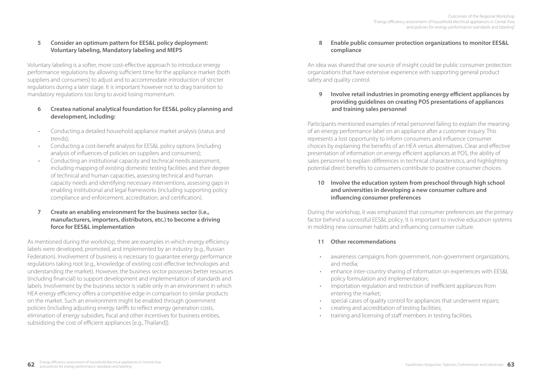### **5 Consider an optimum pattern for EES&L policy deployment: Voluntary labeling, Mandatory labeling and MEPS**

Voluntary labeling is a softer, more cost-effective approach to introduce energy performance regulations by allowing sufficient time for the appliance market (both suppliers and consumers) to adjust and to accommodate introduction of stricter regulations during a later stage. It is important however not to drag transition to mandatory regulations too long to avoid losing momentum.

### **6 Createa national analytical foundation for EES&L policy planning and development, including:**

- Conducting a detailed household appliance market analysis (status and trends);
- Conducting a cost-benefit analysis for EES&L policy options (including analysis of influences of policies on suppliers and consumers);
- Conducting an institutional capacity and technical needs assessment, including mapping of existing domestic testing facilities and their degree of technical and human capacities, assessing technical and human capacity needs and identifying necessary interventions, assessing gaps in enabling institutional and legal frameworks (including supporting policy compliance and enforcement, accreditation, and certification).
- **7 Create an enabling environment for the business sector (i.e., manufacturers, importers, distributors, etc.) to become a driving force for EES&L implementation**

As mentioned during the workshop, there are examples in which energy efficiency labels were developed, promoted, and implemented by an industry (e.g., Russian Federation). Involvement of business is necessary to guarantee energy performance regulations taking root (e.g., knowledge of existing cost-effective technologies and understanding the market). However, the business sector possesses better resources (including financial) to support development and implementation of standards and labels. Involvement by the business sector is viable only in an environment in which HEA energy efficiency offers a competitive edge in comparison to similar products on the market. Such an environment might be enabled through government policies (including adjusting energy tariffs to reflect energy generation costs, elimination of energy subsidies, fiscal and other incentives for business entities, subsidizing the cost of efficient appliances [e.g., Thailand]).

### **8 Enable public consumer protection organizations to monitor EES&L compliance**

An idea was shared that one source of insight could be public consumer protection organizations that have extensive experience with supporting general product safety and quality control.

 **9 Involve retail industries in promoting energy efficient appliances by providing guidelines on creating POS presentations of appliances and training sales personnel**

Participants mentioned examples of retail personnel failing to explain the meaning of an energy performance label on an appliance after a customer inquiry. This represents a lost opportunity to inform consumers and influence consumer choices by explaining the benefits of an HEA versus alternatives. Clear and effective presentation of information on energy efficient appliances at POS, the ability of sales personnel to explain differences in technical characteristics, and highlighting potential direct benefits to consumers contribute to positive consumer choices.

### **10 Involve the education system from preschool through high school and universities in developing a new consumer culture and influencing consumer preferences**

During the workshop, it was emphasized that consumer preferences are the primary factor behind a successful EES&L policy. It is important to involve education systems in molding new consumer habits and influencing consumer culture.

### **11 Other recommendations**

- awareness campaigns from government, non-government organizations, and media;
- enhance inter-country sharing of information on experiences with EES&L policy formulation and implementation;
- importation regulation and restriction of inefficient appliances from entering the market;
- special cases of quality control for appliances that underwent repairs;
- creating and accreditation of testing facilities;
- training and licensing of staff members in testing facilities.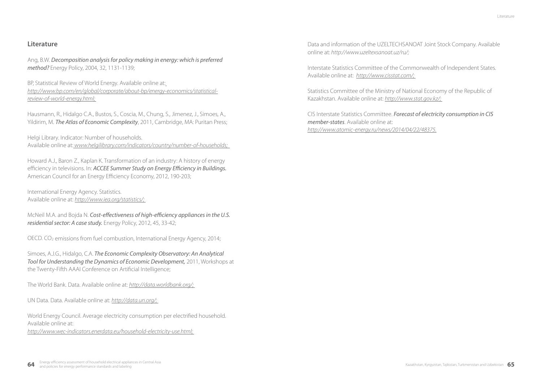### **Literature**

Ang, B.W. *Decomposition analysis for policy making in energy: which is preferred method?* Energy Policy, 2004, 32, 1131-1139;

BP, Statistical Review of World Energy. Available online at: *http://www.bp.com/en/global/corporate/about-bp/energy-economics/statisticalreview-of-world-energy.html;* 

Hausmann, R., Hidalgo C.A., Bustos, S., Coscia, M., Chung, S., Jimenez, J., Simoes, A., Yildirim, M. *The Atlas of Economic Complexity*, 2011, Cambridge, MA: Puritan Press;

Helgi Library. Indicator: Number of households. Available online at: *www.helgilibrary.com/indicators/country/number-of-households;* 

Howard A.J., Baron Z., Kaplan K. Transformation of an industry: A history of energy efficiency in televisions. In: *ACCEE Summer Study on Energy Efficiency in Buildings.* American Council for an Energy Efficiency Economy, 2012, 190-203;

International Energy Agency. Statistics. Available online at: *http://www.iea.org/statistics/;* 

McNeil M.A. and Bojda N. *Cost-effectiveness of high-efficiency appliances in the U.S. residential sector: A case study.* Energy Policy, 2012, 45, 33-42;

OECD. CO2 emissions from fuel combustion, International Energy Agency, 2014;

Simoes, A.J.G., Hidalgo, C.A. *The Economic Complexity Observatory: An Analytical Tool for Understanding the Dynamics of Economic Development,* 2011, Workshops at the Twenty-Fifth AAAI Conference on Artificial Intelligence;

The World Bank. Data. Available online at: *http://data.worldbank.org/;* 

UN Data. Data. Available online at: *http://data.un.org/;* 

World Energy Council. Average electricity consumption per electrified household. Available online at:

*http://www.wec-indicators.enerdata.eu/household-electricity-use.html;* 

Data and information of the UZELTECHSANOAT Joint Stock Company. Available online at: *http://www.uzeltexsanoat.uz/ru/;* 

Interstate Statistics Committee of the Commonwealth of Independent States. Available online at: *http://www.cisstat.com/;* 

Statistics Committee of the Ministry of National Economy of the Republic of Kazakhstan. Available online at: *http://www.stat.gov.kz/;* 

CIS Interstate Statistics Committee. *Forecast of electricity consumption in CIS member-states*. Available online at: *http://www.atomic-energy.ru/news/2014/04/22/48375.*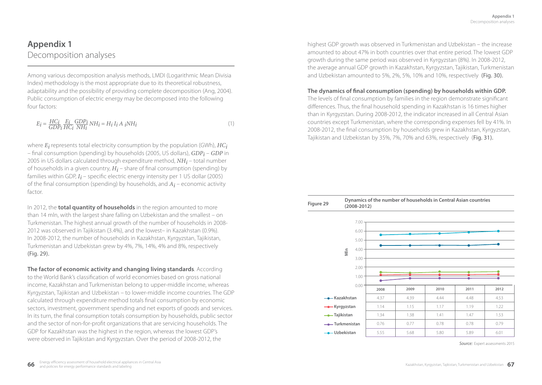# **Appendix 1** Decomposition analyses

Among various decomposition analysis methods, LMDI (Logarithmic Mean Divisia Index) methodology is the most appropriate due to its theoretical robustness, adaptability and the possibility of providing complete decomposition (Ang, 2004). Public consumption of electric energy may be decomposed into the following four factors:

$$
E_i = \frac{HC_i}{GDP_i} \frac{E_i}{HC_i} \frac{GDP_i}{NH_i} NH_i = H_i I_i A_i NH_i
$$
\n<sup>(1)</sup>

where *Ei* represents total electricity consumption by the population (GWh), *HCi* – final consumption (spending) by households (2005, US dollars), *GDPi* – *GDP* in 2005 in US dollars calculated through expenditure method, *NHi* – total number of households in a given country, *Hi* – share of final consumption (spending) by families within GDP,  $I_i$  – specific electric energy intensity per 1 US dollar (2005) of the final consumption (spending) by households, and *Ai* – economic activity factor.

In 2012, the **total quantity of households** in the region amounted to more than 14 mln, with the largest share falling on Uzbekistan and the smallest – on Turkmenistan. The highest annual growth of the number of households in 2008- 2012 was observed in Tajikistan (3.4%), and the lowest– in Kazakhstan (0.9%). In 2008-2012, the number of households in Kazakhstan, Kyrgyzstan, Tajikistan, Turkmenistan and Uzbekistan grew by 4%, 7%, 14%, 4% and 8%, respectively (Fig. 29).

**The factor of economic activity and changing living standards**. According to the World Bank's classification of world economies based on gross national income, Kazakhstan and Turkmenistan belong to upper-middle income, whereas Kyrgyzstan, Tajikistan and Uzbekistan – to lower-middle income countries. The GDP calculated through expenditure method totals final consumption by economic sectors, investment, government spending and net exports of goods and services. In its turn, the final consumption totals consumption by households, public sector and the sector of non-for-profit organizations that are servicing households. The GDP for Kazakhstan was the highest in the region, whereas the lowest GDP's were observed in Tajikistan and Kyrgyzstan. Over the period of 2008-2012, the

highest GDP growth was observed in Turkmenistan and Uzbekistan – the increase amounted to about 47% in both countries over that entire period. The lowest GDP growth during the same period was observed in Kyrgyzstan (8%). In 2008-2012, the average annual GDP growth in Kazakhstan, Kyrgyzstan, Tajikistan, Turkmenistan and Uzbekistan amounted to 5%, 2%, 5%, 10% and 10%, respectively (Fig. 30).

### **The dynamics of final consumption (spending) by households within GDP.**

The levels of final consumption by families in the region demonstrate significant differences. Thus, the final household spending in Kazakhstan is 16 times higher than in Kyrgyzstan. During 2008-2012, the indicator increased in all Central Asian countries except Turkmenistan, where the corresponding expenses fell by 41%. In 2008-2012, the final consumption by households grew in Kazakhstan, Kyrgyzstan, Tajikistan and Uzbekistan by 35%, 7%, 70% and 63%, respectively (Fig. 31).



*Source:* Expert assessments 2015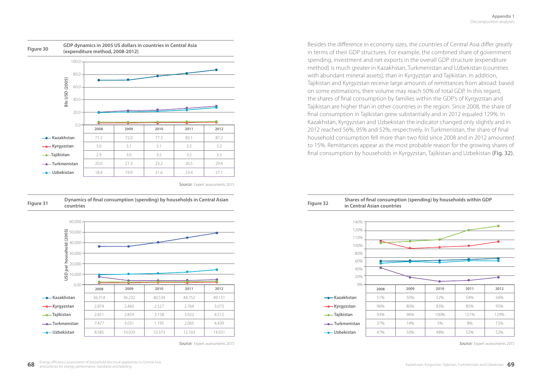

*Source:* Expert assessments 2015



*Source:* Expert assessments 2015 *Source:* Expert assessments 2015

Besides the difference in economy sizes, the countries of Central Asia differ greatly in terms of their GDP structures. For example, the combined share of government spending, investment and net exports in the overall GDP structure (expenditure method) is much greater in Kazakhstan, Turkmenistan and Uzbekistan (countries with abundant mineral assets), than in Kyrgyzstan and Tajikistan. In addition, Tajikistan and Kyrgyzstan receive large amounts of remittances from abroad: based on some estimations, their volume may reach 50% of total GDP. In this regard, the shares of final consumption by families within the GDP's of Kyrgyzstan and Tajikistan are higher than in other countries in the region. Since 2008, the share of final consumption in Tajikistan grew substantially and in 2012 equaled 129%. In Kazakhstan, Kyrgyzstan and Uzbekistan the indicator changed only slightly and in 2012 reached 56%, 95% and 52%, respectively. In Turkmenistan, the share of final household consumption fell more than two fold since 2008 and in 2012 amounted to 15%. Remittances appear as the most probable reason for the growing shares of final consumption by households in Kyrgyzstan, Tajikistan and Uzbekistan (Fig. 32).

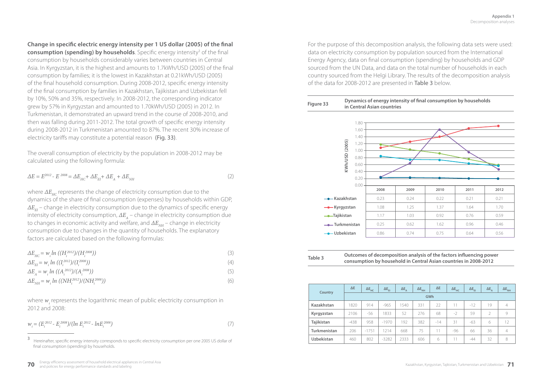**Change in specific electric energy intensity per 1 US dollar (2005) of the final** 

**consumption (spending) by households**. Specific energy intensity<sup>3</sup> of the final consumption by households considerably varies between countries in Central Asia. In Kyrgyzstan, it is the highest and amounts to 1.7kWh/USD (2005) of the final consumption by families; it is the lowest in Kazakhstan at 0.21kWh/USD (2005) of the final household consumption. During 2008-2012, specific energy intensity of the final consumption by families in Kazakhstan, Tajikistan and Uzbekistan fell by 10%, 50% and 35%, respectively. In 2008-2012, the corresponding indicator grew by 57% in Kyrgyzstan and amounted to 1.70kWh/USD (2005) in 2012. In Turkmenistan, it demonstrated an upward trend in the course of 2008-2010, and then was falling during 2011-2012. The total growth of specific energy intensity during 2008-2012 in Turkmenistan amounted to 87%. The recent 30% increase of electricity tariffs may constitute a potential reason (Fig. 33).

The overall consumption of electricity by the population in 2008-2012 may be calculated using the following formula:

$$
\Delta E = E^{2012} - E^{2008} = \Delta E_{HC} + \Delta E_{EI} + \Delta E_A + \Delta E_{NH} \tag{2}
$$

where  $\Delta E_{\text{uc}}$  represents the change of electricity consumption due to the dynamics of the share of final consumption (expenses) by households within GDP,  $\Delta E_{\text{ex}}$  – change in electricity consumption due to the dynamics of specific energy intensity of electricity consumption,  $\Delta E_A$  – change in electricity consumption due to changes in economic activity and welfare, and  $\Delta E_{N_H}$  – change in electricity consumption due to changes in the quantity of households. The explanatory factors are calculated based on the following formulas:

| $\Delta E_{HC} = w_i ln ((H_i^{2012})/(H_i^{2008}))$                                      |     |
|-------------------------------------------------------------------------------------------|-----|
| $\Delta E_{\scriptscriptstyle EI} = w_i \ln \left( \frac{I_1^{2012}}{I_1^{2008}} \right)$ | (4) |
| $\Delta E_{A} = w_{i} \ln \left( (A_{i}^{2012})/(A_{i}^{2008}) \right)$                   | (5) |
| $\Delta E_{NH} = w_i \ln \left( (NH_i^{2012})/(NH_i^{2008}) \right)$                      | (6) |

where  $w_{i}$  represents the logarithmic mean of public electricity consumption in 2012 and 2008:

$$
w_i = (E_i^{2012} - E_i^{2008})/(ln E_i^{2012} - ln E_i^{2008})
$$
\n(7)

For the purpose of this decomposition analysis, the following data sets were used: data on electricity consumption by population sourced from the International Energy Agency, data on final consumption (spending) by households and GDP sourced from the UN Data, and data on the total number of households in each country sourced from the Helgi Library. The results of the decomposition analysis of the data for 2008-2012 are presented in Table 3 below.

#### **Figure 33 Dynamics of energy intensity of final consumption by households in Central Asian countries**



| Outcomes of dec |  |
|-----------------|--|
| consumption by  |  |

**Table 3 Outcomes of decomposition analysis of the factors influencing power household in Central Asian countries in 2008-2012** 

| Country           | $\Delta E$ | $\Delta E$ <sub>HC</sub> | $\Delta E_{\rm FI}$ | $\Delta E$ <sub>A</sub> | $\Delta E_{_{\rm NH}}$ | $\Delta E$ | $\Delta E$ <sub>HC</sub> | $\Delta E_{F1}$ | $\Delta E$ <sub>A</sub> | $\Delta E_{_{\rm NH}}$ |
|-------------------|------------|--------------------------|---------------------|-------------------------|------------------------|------------|--------------------------|-----------------|-------------------------|------------------------|
|                   | GWh        |                          |                     |                         |                        |            |                          |                 |                         |                        |
| Kazakhstan        | 1820       | 914                      | $-965$              | 1540                    | 331                    | 22         | 11                       | $-12$           | 19                      | 4                      |
| Kyrgyzstan        | 2106       | $-56$                    | 1833                | 52                      | 276                    | 68         | $-2$                     | 59              | $\mathcal{P}$           | 9                      |
| Tajikistan        | $-438$     | 958                      | $-1970$             | 192                     | 382                    | $-14$      | 31                       | $-63$           | 6                       | 12                     |
| Turkmenistan      | 206        | $-1751$                  | 1214                | 668                     | 75                     | 11         | $-96$                    | 66              | 36                      | 4                      |
| <b>Uzbekistan</b> | 460        | 802                      | $-3282$             | 2333                    | 606                    | 6          |                          | $-44$           | 32                      | 8                      |

<sup>3</sup> Hereinafter, specific energy intensity corresponds to specific electricity consumption per one 2005 US dollar of final consumption (spending) by households.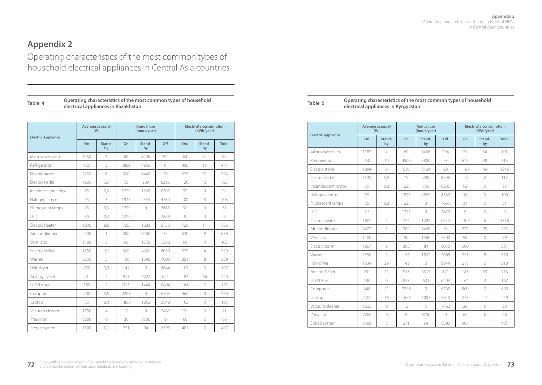# **Appendix 2**

 $\overline{\phantom{a}}$ 

Operating characteristics of the most common types of household electrical appliances in Central Asia countries

| Table 4 | Operating characteristics of the most common types of household<br>electrical appliances in Kazakhstan |
|---------|--------------------------------------------------------------------------------------------------------|
|---------|--------------------------------------------------------------------------------------------------------|

| <b>Electric Appliance</b> | Average capacity<br>(W) |                |      | <b>Annual use</b><br>(hours/year) |            | <b>Electricity consumption</b><br>(KWh/year) |                          |       |
|---------------------------|-------------------------|----------------|------|-----------------------------------|------------|----------------------------------------------|--------------------------|-------|
|                           | O <sub>n</sub>          | Stand-<br>by   | On   | Stand-<br>by                      | Off        | On.                                          | Stand-<br>by             | Total |
| Microwaye oven            | 1050                    | 4              | 60   | 8406                              | 294        | 63                                           | 34                       | 97    |
| Refrigerator              | 120                     | 3              | 3800 | 4960                              | $\bigcap$  | 456                                          | 15                       | 471   |
| Flectric stove            | 2250                    | 6              | 300  | 8440                              | 20         | 675                                          | 51                       | 726   |
| Electric kettle           | 1600                    | 5,5            | 75   | 289                               | 8396       | 120                                          | $\overline{\phantom{a}}$ | 122   |
| Incandescent lamps        | 75                      | 0,3            | 1225 | 1330                              | 6205       | 92                                           | $\bigcirc$               | 92    |
| Halogen lamps             | 55                      | 3              | 1825 | 2555                              | 4380       | 100                                          | 8                        | 108   |
| Fluorescent lamps         | 25                      | 0,3            | 1225 | $\bigcirc$                        | 7665       | 31                                           | $\bigcirc$               | 31    |
| LED                       | 7,5                     | 0,3            | 1225 |                                   | 7879       | $\circ$                                      | $\bigcirc$               | 9     |
| Electric heater           | 1000                    | 8,5            | 725  | 1283                              | 6753       | 725                                          | 11                       | 736   |
| Air-conditioner           | 2100                    | $\mathbf{1}$   | 300  | 8460                              | $\circ$    | 630                                          | 8                        | 638   |
| Ventilator                | 1100                    | 3              | 90   | 1370                              | 7300       | 99                                           | 4                        | 103   |
| Flectric boiler           | 1750                    | 10             | 300  | 430                               | 8030       | 525                                          | $\overline{4}$           | 529   |
| Washer                    | 2250                    | 5              | 156  | 1596                              | 7008       | 351                                          | 8                        | 359   |
| Hair-dryer                | 750                     | 3,9            | 142  | $\circ$                           | 8644       | 107                                          | $\Omega$                 | 107   |
| Analog TV-set             | 201                     | 5              | 913  | 7227                              | 621        | 183                                          | 36                       | 220   |
| I CD TV-set               | 180                     | 5              | 913  | 1444                              | 6404       | 164                                          | 7                        | 171   |
| Computer                  | 200                     | 0.5            | 2298 | $\bigcirc$                        | 6765       | 460                                          | $\bigcirc$               | 460   |
| Laptop                    | 55                      | 0.4            | 1868 | 1053                              | 5840       | 103                                          | $\bigcirc$               | 103   |
| Vacuum cleaner            | 1750                    | $\overline{4}$ | 12   | $\bigcirc$                        | 7462       | 21                                           | $\bigcirc$               | 21    |
| Press iron                | 2200                    | $\circ$        | 30   | 8730                              | $\bigcirc$ | 66                                           | $\circ$                  | 66    |
| Stereo system             | 1500                    | 0,1            | 271  | 94                                | 8395       | 407                                          | $\bigcirc$               | 407   |

| Operating characteristics of the most common types of household | Table : | Operating characteristics of the most common types of household |  |  |  |
|-----------------------------------------------------------------|---------|-----------------------------------------------------------------|--|--|--|
| electrical appliances in Kazakhstan                             |         | electrical appliances in Kyrgyzstan                             |  |  |  |

|                           |      | Average capacity<br>(W) |      | Annual use<br>(hours/year) |            |         | <b>Electricity consumption</b><br>(KWh/year) |              |  |
|---------------------------|------|-------------------------|------|----------------------------|------------|---------|----------------------------------------------|--------------|--|
| <b>Electric Appliance</b> | On   | Stand-<br>by            | On   | Stand-<br>bv               | Off        | On      | Stand-<br>by                                 | <b>Total</b> |  |
| Microwave oven            | 1187 | 4                       | 60   | 8406                       | 294        | 71      | 34                                           | 105          |  |
| Refrigerator              | 150  | 10                      | 4500 | 3800                       | $\bigcirc$ | 675     | 38                                           | 713          |  |
| Flectric stove            | 1894 | 6                       | 616  | 8124                       | 20         | 1167    | 49                                           | 1216         |  |
| Flectric kettle           | 1539 | 5,5                     | 75   | 289                        | 8396       | 115     | $\overline{2}$                               | 117          |  |
| Incandescent lamps        | 75   | 0,3                     | 1225 | 730                        | 6205       | 92      | $\bigcirc$                                   | 92           |  |
| Halogen lamps             | 55   |                         | 1825 | 2555                       | 4380       | 100     | $\bigcirc$                                   | 100          |  |
| Fluorescent lamps         | 25   | 0.3                     | 1225 | $\sqrt{a}$                 | 7665       | 31      | $\bigcirc$                                   | 31           |  |
| I FD                      | 7,5  |                         | 1225 | $\bigcirc$                 | 7879       | $\circ$ | $\bigcirc$                                   | $\circ$      |  |
| Flectric heater           | 1807 | 5                       | 725  | 1283                       | 6753       | 1309    | 6                                            | 1316         |  |
| Air-conditioner           | 2422 | 3                       | 300  | 8460                       | $\bigcirc$ | 727     | 25                                           | 752          |  |
| Ventilator                | 1100 |                         | 90   | 1460                       | 7300       | 99      | $\Omega$                                     | 99           |  |
| Electric boiler           | 1667 | $\circ$                 | 300  | 84                         | 8030       | 500     | $\mathbf{1}$                                 | 501          |  |
| Washer                    | 2250 | 5                       | 156  | 1502                       | 7008       | 351     | 8                                            | 359          |  |
| Hair-dryer                | 1534 | 3,9                     | 142  | $\bigcirc$                 | 8644       | 218     | $\bigcirc$                                   | 218          |  |
| Analog TV-set             | 201  | 11                      | 913  | 6315                       | 621        | 183     | 69                                           | 253          |  |
| I CD TV-set               | 180  | 6                       | 913  | 531                        | 6404       | 164     | 3                                            | 167          |  |
| Computer                  | 348  | 21                      | 2298 | $\circ$                    | 6765       | 800     | $\circ$                                      | 800          |  |
| Laptop                    | 125  | 16                      | 1868 | 1053                       | 5840       | 233     | 17                                           | 249          |  |
| Vacuum cleaner            | 1635 | $\bigcirc$              | 12   | $\bigcirc$                 | 7462       | 20      | $\bigcirc$                                   | 20           |  |
| Press iron                | 2200 | $\bigcirc$              | 30   | 8730                       | $\circ$    | 66      | $\sqrt{a}$                                   | 66           |  |
| Stereo system             | 1500 | 8                       | 271  | 94                         | 8395       | 407     | 1                                            | 407          |  |